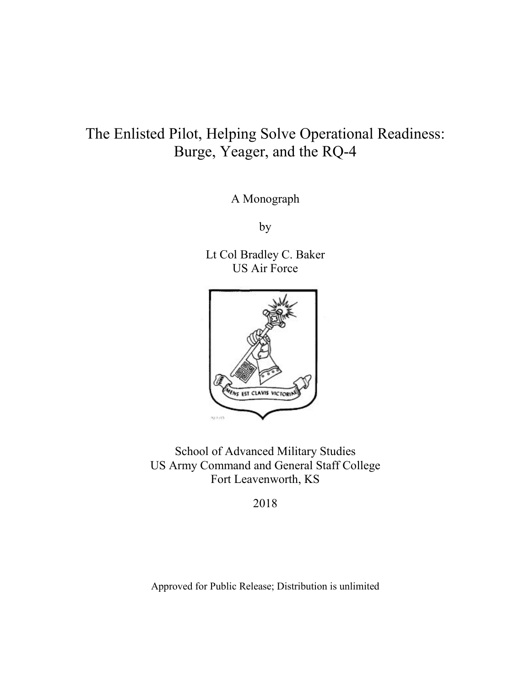# The Enlisted Pilot, Helping Solve Operational Readiness: Burge, Yeager, and the RQ-4

A Monograph

by

Lt Col Bradley C. Baker US Air Force



School of Advanced Military Studies US Army Command and General Staff College Fort Leavenworth, KS

2018

Approved for Public Release; Distribution is unlimited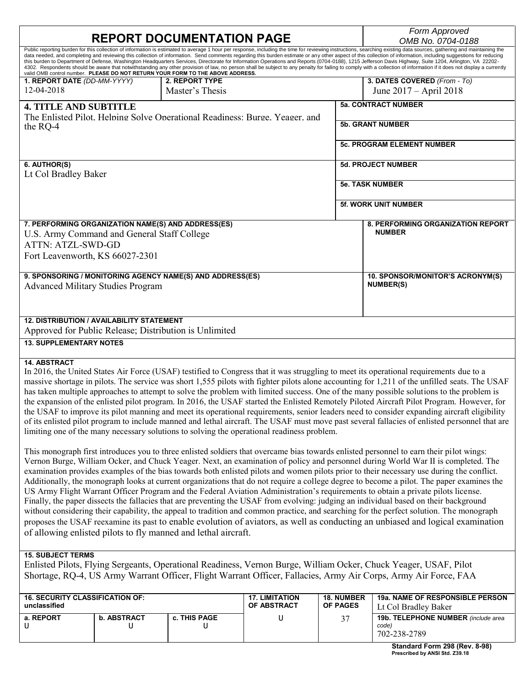|                                                                                                                                                                                                                                                                                                                                                                                                                                                                                                                                                                                                                                                                                                                                                                                                                                                                                                                                                                 |                 |                         | Form Approved                            |  |
|-----------------------------------------------------------------------------------------------------------------------------------------------------------------------------------------------------------------------------------------------------------------------------------------------------------------------------------------------------------------------------------------------------------------------------------------------------------------------------------------------------------------------------------------------------------------------------------------------------------------------------------------------------------------------------------------------------------------------------------------------------------------------------------------------------------------------------------------------------------------------------------------------------------------------------------------------------------------|-----------------|-------------------------|------------------------------------------|--|
| <b>REPORT DOCUMENTATION PAGE</b>                                                                                                                                                                                                                                                                                                                                                                                                                                                                                                                                                                                                                                                                                                                                                                                                                                                                                                                                |                 |                         | OMB No. 0704-0188                        |  |
| Public reporting burden for this collection of information is estimated to average 1 hour per response, including the time for reviewing instructions, searching existing data sources, gathering and maintaining the<br>data needed, and completing and reviewing this collection of information. Send comments regarding this burden estimate or any other aspect of this collection of information, including suggestions for reducing<br>this burden to Department of Defense, Washington Headquarters Services, Directorate for Information Operations and Reports (0704-0188), 1215 Jefferson Davis Highway, Suite 1204, Arlington, VA 22202-<br>4302. Respondents should be aware that notwithstanding any other provision of law, no person shall be subject to any penalty for failing to comply with a collection of information if it does not display a currently<br>valid OMB control number. PLEASE DO NOT RETURN YOUR FORM TO THE ABOVE ADDRESS. |                 |                         |                                          |  |
| 1. REPORT DATE (DD-MM-YYYY)                                                                                                                                                                                                                                                                                                                                                                                                                                                                                                                                                                                                                                                                                                                                                                                                                                                                                                                                     | 2. REPORT TYPE  |                         | 3. DATES COVERED (From - To)             |  |
| 12-04-2018                                                                                                                                                                                                                                                                                                                                                                                                                                                                                                                                                                                                                                                                                                                                                                                                                                                                                                                                                      | Master's Thesis |                         | June $2017 -$ April 2018                 |  |
| <b>4. TITLE AND SUBTITLE</b>                                                                                                                                                                                                                                                                                                                                                                                                                                                                                                                                                                                                                                                                                                                                                                                                                                                                                                                                    |                 |                         | <b>5a. CONTRACT NUMBER</b>               |  |
| The Enlisted Pilot, Helping Solve Operational Readiness: Burge, Yeager, and                                                                                                                                                                                                                                                                                                                                                                                                                                                                                                                                                                                                                                                                                                                                                                                                                                                                                     |                 |                         |                                          |  |
| the RQ-4                                                                                                                                                                                                                                                                                                                                                                                                                                                                                                                                                                                                                                                                                                                                                                                                                                                                                                                                                        |                 | <b>5b. GRANT NUMBER</b> |                                          |  |
|                                                                                                                                                                                                                                                                                                                                                                                                                                                                                                                                                                                                                                                                                                                                                                                                                                                                                                                                                                 |                 |                         | <b>5c. PROGRAM ELEMENT NUMBER</b>        |  |
| 6. AUTHOR(S)                                                                                                                                                                                                                                                                                                                                                                                                                                                                                                                                                                                                                                                                                                                                                                                                                                                                                                                                                    |                 |                         | <b>5d. PROJECT NUMBER</b>                |  |
| Lt Col Bradley Baker                                                                                                                                                                                                                                                                                                                                                                                                                                                                                                                                                                                                                                                                                                                                                                                                                                                                                                                                            |                 |                         |                                          |  |
|                                                                                                                                                                                                                                                                                                                                                                                                                                                                                                                                                                                                                                                                                                                                                                                                                                                                                                                                                                 |                 |                         | <b>5e. TASK NUMBER</b>                   |  |
|                                                                                                                                                                                                                                                                                                                                                                                                                                                                                                                                                                                                                                                                                                                                                                                                                                                                                                                                                                 |                 |                         | <b>5f. WORK UNIT NUMBER</b>              |  |
| 7. PERFORMING ORGANIZATION NAME(S) AND ADDRESS(ES)                                                                                                                                                                                                                                                                                                                                                                                                                                                                                                                                                                                                                                                                                                                                                                                                                                                                                                              |                 |                         | <b>8. PERFORMING ORGANIZATION REPORT</b> |  |
| U.S. Army Command and General Staff College                                                                                                                                                                                                                                                                                                                                                                                                                                                                                                                                                                                                                                                                                                                                                                                                                                                                                                                     |                 |                         | <b>NUMBER</b>                            |  |
| <b>ATTN: ATZL-SWD-GD</b>                                                                                                                                                                                                                                                                                                                                                                                                                                                                                                                                                                                                                                                                                                                                                                                                                                                                                                                                        |                 |                         |                                          |  |
|                                                                                                                                                                                                                                                                                                                                                                                                                                                                                                                                                                                                                                                                                                                                                                                                                                                                                                                                                                 |                 |                         |                                          |  |
| Fort Leavenworth, KS 66027-2301                                                                                                                                                                                                                                                                                                                                                                                                                                                                                                                                                                                                                                                                                                                                                                                                                                                                                                                                 |                 |                         |                                          |  |
| 9. SPONSORING / MONITORING AGENCY NAME(S) AND ADDRESS(ES)                                                                                                                                                                                                                                                                                                                                                                                                                                                                                                                                                                                                                                                                                                                                                                                                                                                                                                       |                 |                         | 10. SPONSOR/MONITOR'S ACRONYM(S)         |  |
| <b>Advanced Military Studies Program</b>                                                                                                                                                                                                                                                                                                                                                                                                                                                                                                                                                                                                                                                                                                                                                                                                                                                                                                                        |                 |                         | <b>NUMBER(S)</b>                         |  |
|                                                                                                                                                                                                                                                                                                                                                                                                                                                                                                                                                                                                                                                                                                                                                                                                                                                                                                                                                                 |                 |                         |                                          |  |
|                                                                                                                                                                                                                                                                                                                                                                                                                                                                                                                                                                                                                                                                                                                                                                                                                                                                                                                                                                 |                 |                         |                                          |  |
| <b>12. DISTRIBUTION / AVAILABILITY STATEMENT</b>                                                                                                                                                                                                                                                                                                                                                                                                                                                                                                                                                                                                                                                                                                                                                                                                                                                                                                                |                 |                         |                                          |  |
| Approved for Public Release; Distribution is Unlimited                                                                                                                                                                                                                                                                                                                                                                                                                                                                                                                                                                                                                                                                                                                                                                                                                                                                                                          |                 |                         |                                          |  |
| <b>13. SUPPLEMENTARY NOTES</b>                                                                                                                                                                                                                                                                                                                                                                                                                                                                                                                                                                                                                                                                                                                                                                                                                                                                                                                                  |                 |                         |                                          |  |
| <b>14 ADCTDACT</b>                                                                                                                                                                                                                                                                                                                                                                                                                                                                                                                                                                                                                                                                                                                                                                                                                                                                                                                                              |                 |                         |                                          |  |

#### **14. ABSTRACT**

In 2016, the United States Air Force (USAF) testified to Congress that it was struggling to meet its operational requirements due to a massive shortage in pilots. The service was short 1,555 pilots with fighter pilots alone accounting for 1,211 of the unfilled seats. The USAF has taken multiple approaches to attempt to solve the problem with limited success. One of the many possible solutions to the problem is the expansion of the enlisted pilot program. In 2016, the USAF started the Enlisted Remotely Piloted Aircraft Pilot Program. However, for the USAF to improve its pilot manning and meet its operational requirements, senior leaders need to consider expanding aircraft eligibility of its enlisted pilot program to include manned and lethal aircraft. The USAF must move past several fallacies of enlisted personnel that are limiting one of the many necessary solutions to solving the operational readiness problem.

This monograph first introduces you to three enlisted soldiers that overcame bias towards enlisted personnel to earn their pilot wings: Vernon Burge, William Ocker, and Chuck Yeager. Next, an examination of policy and personnel during World War II is completed. The examination provides examples of the bias towards both enlisted pilots and women pilots prior to their necessary use during the conflict. Additionally, the monograph looks at current organizations that do not require a college degree to become a pilot. The paper examines the US Army Flight Warrant Officer Program and the Federal Aviation Administration's requirements to obtain a private pilots license. Finally, the paper dissects the fallacies that are preventing the USAF from evolving: judging an individual based on their background without considering their capability, the appeal to tradition and common practice, and searching for the perfect solution. The monograph proposes the USAF reexamine its past to enable evolution of aviators, as well as conducting an unbiased and logical examination of allowing enlisted pilots to fly manned and lethal aircraft.

#### **15. SUBJECT TERMS**

Enlisted Pilots, Flying Sergeants, Operational Readiness, Vernon Burge, William Ocker, Chuck Yeager, USAF, Pilot Shortage, RQ-4, US Army Warrant Officer, Flight Warrant Officer, Fallacies, Army Air Corps, Army Air Force, FAA

| <b>16. SECURITY CLASSIFICATION OF:</b><br>unclassified |                    |              | <b>17. LIMITATION</b><br><b>OF ABSTRACT</b> | <b>18. NUMBER</b><br><b>OF PAGES</b> | <b>19a. NAME OF RESPONSIBLE PERSON</b><br>Lt Col Bradlev Baker     |
|--------------------------------------------------------|--------------------|--------------|---------------------------------------------|--------------------------------------|--------------------------------------------------------------------|
| a. REPORT                                              | <b>b. ABSTRACT</b> | c. THIS PAGE |                                             |                                      | <b>19b. TELEPHONE NUMBER</b> (include area<br>code<br>702-238-2789 |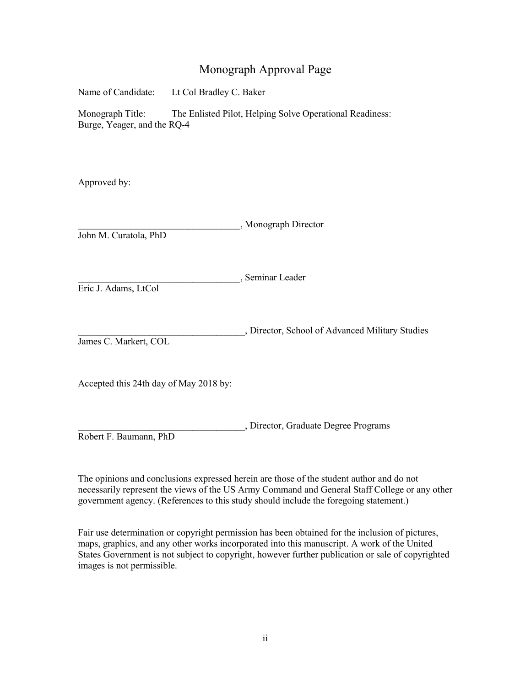# Monograph Approval Page

Name of Candidate: Lt Col Bradley C. Baker

Monograph Title: The Enlisted Pilot, Helping Solve Operational Readiness: Burge, Yeager, and the RQ-4

Approved by:

\_\_\_\_\_\_\_\_\_\_\_\_\_\_\_\_\_\_\_\_\_\_\_\_\_\_\_\_\_\_\_\_\_\_, Monograph Director John M. Curatola, PhD

\_\_\_\_\_\_\_\_\_\_\_\_\_\_\_\_\_\_\_\_\_\_\_\_\_\_\_\_\_\_\_\_\_\_, Seminar Leader

Eric J. Adams, LtCol

\_\_\_\_\_\_\_\_\_\_\_\_\_\_\_\_\_\_\_\_\_\_\_\_\_\_\_\_\_\_\_\_\_\_\_, Director, School of Advanced Military Studies James C. Markert, COL

Accepted this 24th day of May 2018 by:

\_\_\_\_\_\_\_\_\_\_\_\_\_\_\_\_\_\_\_\_\_\_\_\_\_\_\_\_\_\_\_\_\_\_\_, Director, Graduate Degree Programs Robert F. Baumann, PhD

The opinions and conclusions expressed herein are those of the student author and do not necessarily represent the views of the US Army Command and General Staff College or any other government agency. (References to this study should include the foregoing statement.)

Fair use determination or copyright permission has been obtained for the inclusion of pictures, maps, graphics, and any other works incorporated into this manuscript. A work of the United States Government is not subject to copyright, however further publication or sale of copyrighted images is not permissible.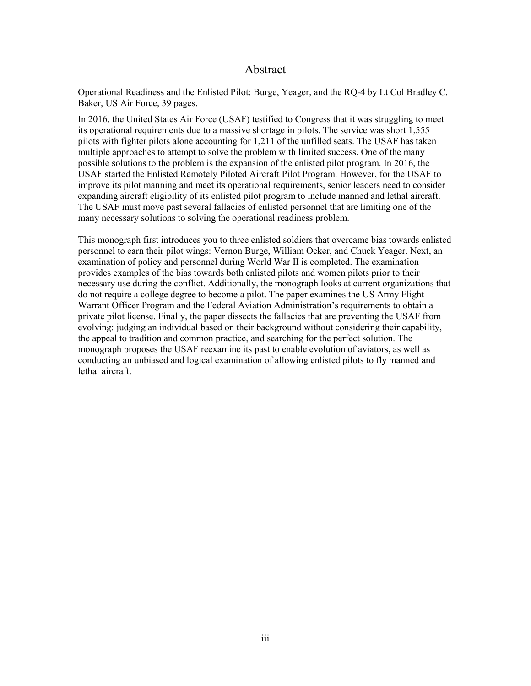### Abstract

Operational Readiness and the Enlisted Pilot: Burge, Yeager, and the RQ-4 by Lt Col Bradley C. Baker, US Air Force, 39 pages.

In 2016, the United States Air Force (USAF) testified to Congress that it was struggling to meet its operational requirements due to a massive shortage in pilots. The service was short 1,555 pilots with fighter pilots alone accounting for 1,211 of the unfilled seats. The USAF has taken multiple approaches to attempt to solve the problem with limited success. One of the many possible solutions to the problem is the expansion of the enlisted pilot program. In 2016, the USAF started the Enlisted Remotely Piloted Aircraft Pilot Program. However, for the USAF to improve its pilot manning and meet its operational requirements, senior leaders need to consider expanding aircraft eligibility of its enlisted pilot program to include manned and lethal aircraft. The USAF must move past several fallacies of enlisted personnel that are limiting one of the many necessary solutions to solving the operational readiness problem.

This monograph first introduces you to three enlisted soldiers that overcame bias towards enlisted personnel to earn their pilot wings: Vernon Burge, William Ocker, and Chuck Yeager. Next, an examination of policy and personnel during World War II is completed. The examination provides examples of the bias towards both enlisted pilots and women pilots prior to their necessary use during the conflict. Additionally, the monograph looks at current organizations that do not require a college degree to become a pilot. The paper examines the US Army Flight Warrant Officer Program and the Federal Aviation Administration's requirements to obtain a private pilot license. Finally, the paper dissects the fallacies that are preventing the USAF from evolving: judging an individual based on their background without considering their capability, the appeal to tradition and common practice, and searching for the perfect solution. The monograph proposes the USAF reexamine its past to enable evolution of aviators, as well as conducting an unbiased and logical examination of allowing enlisted pilots to fly manned and lethal aircraft.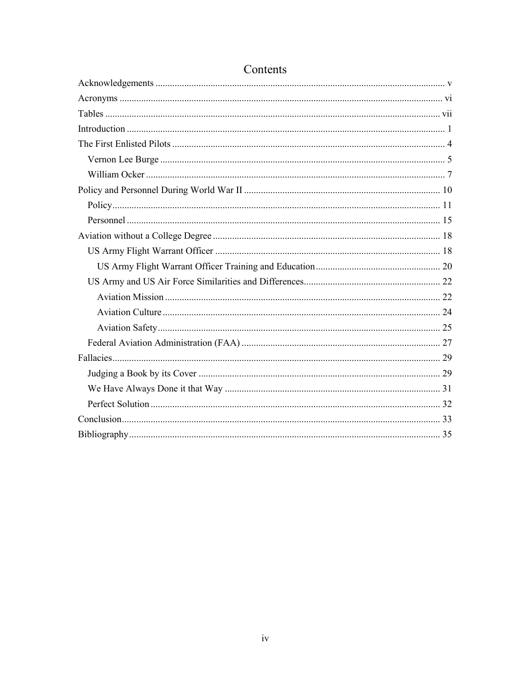# Contents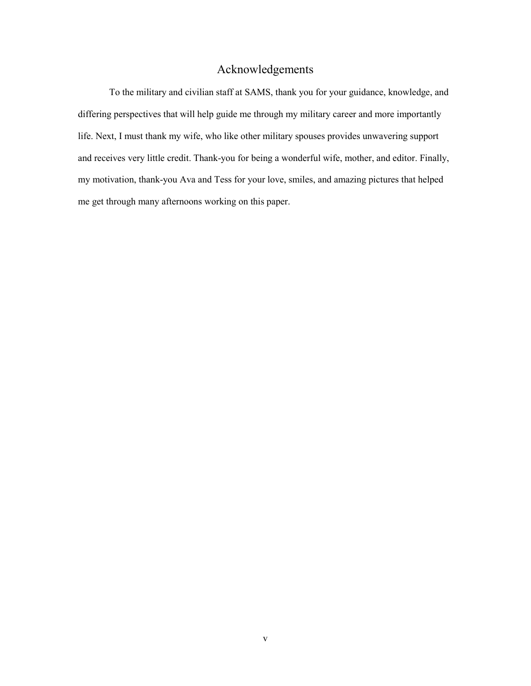# Acknowledgements

<span id="page-5-0"></span>To the military and civilian staff at SAMS, thank you for your guidance, knowledge, and differing perspectives that will help guide me through my military career and more importantly life. Next, I must thank my wife, who like other military spouses provides unwavering support and receives very little credit. Thank-you for being a wonderful wife, mother, and editor. Finally, my motivation, thank-you Ava and Tess for your love, smiles, and amazing pictures that helped me get through many afternoons working on this paper.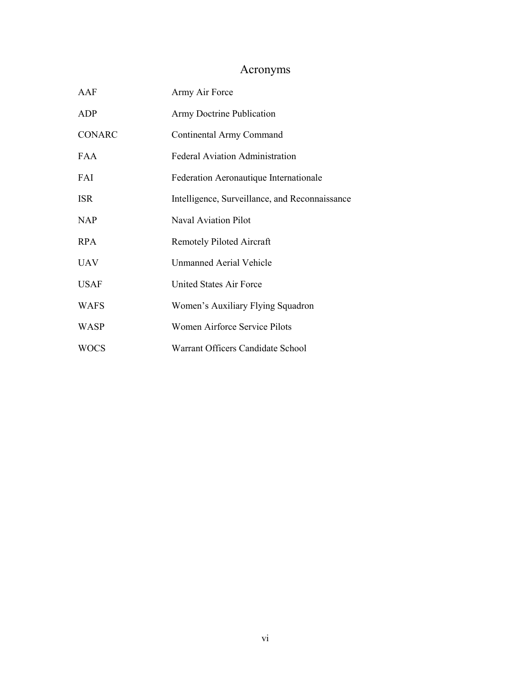# Acronyms

<span id="page-6-0"></span>

| AAF           | Army Air Force                                 |
|---------------|------------------------------------------------|
| ADP           | <b>Army Doctrine Publication</b>               |
| <b>CONARC</b> | Continental Army Command                       |
| <b>FAA</b>    | <b>Federal Aviation Administration</b>         |
| FAI           | Federation Aeronautique Internationale         |
| <b>ISR</b>    | Intelligence, Surveillance, and Reconnaissance |
| <b>NAP</b>    | Naval Aviation Pilot                           |
| <b>RPA</b>    | Remotely Piloted Aircraft                      |
| <b>UAV</b>    | <b>Unmanned Aerial Vehicle</b>                 |
| <b>USAF</b>   | United States Air Force                        |
| <b>WAFS</b>   | Women's Auxiliary Flying Squadron              |
| <b>WASP</b>   | Women Airforce Service Pilots                  |
| <b>WOCS</b>   | Warrant Officers Candidate School              |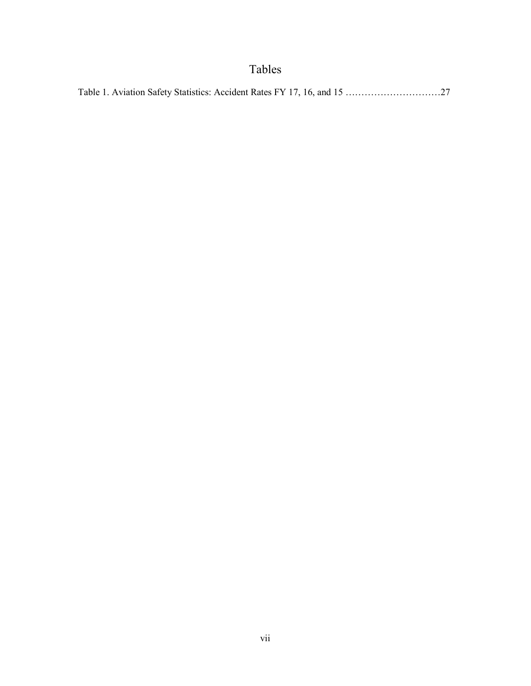# Tables

<span id="page-7-0"></span>

|--|--|--|--|--|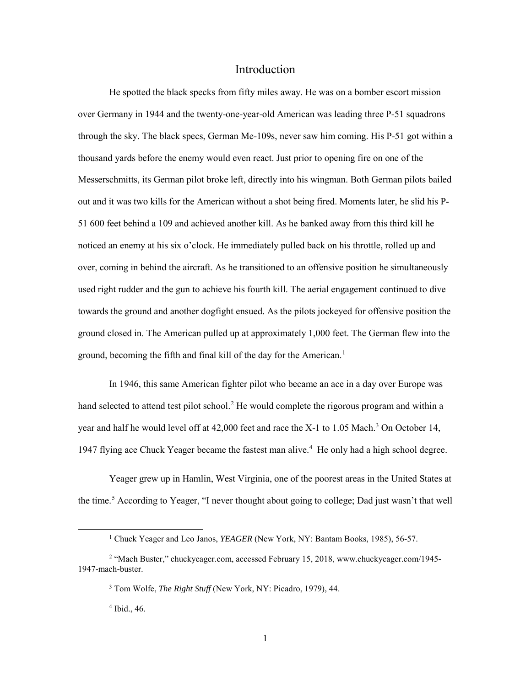### Introduction

<span id="page-8-0"></span>He spotted the black specks from fifty miles away. He was on a bomber escort mission over Germany in 1944 and the twenty-one-year-old American was leading three P-51 squadrons through the sky. The black specs, German Me-109s, never saw him coming. His P-51 got within a thousand yards before the enemy would even react. Just prior to opening fire on one of the Messerschmitts, its German pilot broke left, directly into his wingman. Both German pilots bailed out and it was two kills for the American without a shot being fired. Moments later, he slid his P-51 600 feet behind a 109 and achieved another kill. As he banked away from this third kill he noticed an enemy at his six o'clock. He immediately pulled back on his throttle, rolled up and over, coming in behind the aircraft. As he transitioned to an offensive position he simultaneously used right rudder and the gun to achieve his fourth kill. The aerial engagement continued to dive towards the ground and another dogfight ensued. As the pilots jockeyed for offensive position the ground closed in. The American pulled up at approximately 1,000 feet. The German flew into the ground, becoming the fifth and final kill of the day for the American.<sup>[1](#page-8-1)</sup>

 In 1946, this same American fighter pilot who became an ace in a day over Europe was hand selected to attend test pilot school.<sup>[2](#page-8-2)</sup> He would complete the rigorous program and within a year and half he would level off at 42,000 feet and race the X-1 to 1.05 Mach.<sup>[3](#page-8-3)</sup> On October 14, 19[4](#page-8-4)7 flying ace Chuck Yeager became the fastest man alive.<sup>4</sup> He only had a high school degree.

<span id="page-8-5"></span>Yeager grew up in Hamlin, West Virginia, one of the poorest areas in the United States at the time. [5](#page-8-5) According to Yeager, "I never thought about going to college; Dad just wasn't that well

<sup>&</sup>lt;sup>1</sup> Chuck Yeager and Leo Janos, *YEAGER* (New York, NY: Bantam Books, 1985), 56-57.

<span id="page-8-4"></span><span id="page-8-3"></span><span id="page-8-2"></span><span id="page-8-1"></span><sup>2</sup> "Mach Buster," chuckyeager.com, accessed February 15, 2018, www.chuckyeager.com/1945- 1947-mach-buster.

<sup>3</sup> Tom Wolfe, *The Right Stuff* (New York, NY: Picadro, 1979), 44.

 $4$  Ibid., 46.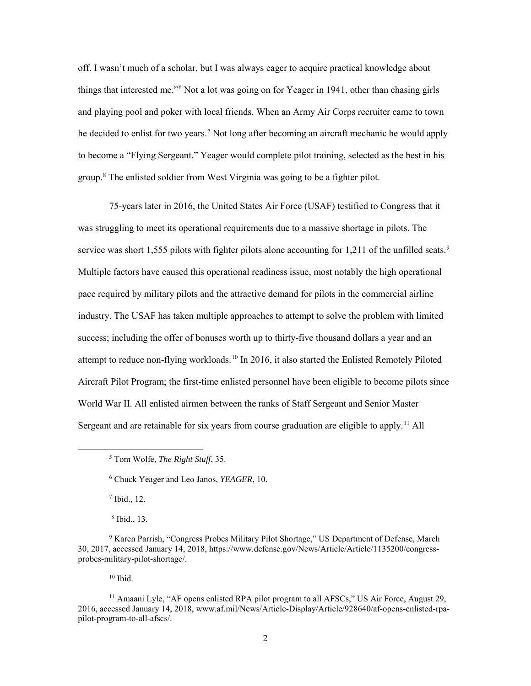off. I wasn't much of a scholar, but I was always eager to acquire practical knowledge about things that interested me."[6](#page-9-0) Not a lot was going on for Yeager in 1941, other than chasing girls and playing pool and poker with local friends. When an Army Air Corps recruiter came to town he decided to enlist for two years.<sup>[7](#page-9-1)</sup> Not long after becoming an aircraft mechanic he would apply to become a "Flying Sergeant." Yeager would complete pilot training, selected as the best in his group.[8](#page-9-2) The enlisted soldier from West Virginia was going to be a fighter pilot.

 75-years later in 2016, the United States Air Force (USAF) testified to Congress that it was struggling to meet its operational requirements due to a massive shortage in pilots. The service was short 1,555 pilots with fighter pilots alone accounting for 1,211 of the unfilled seats.<sup>[9](#page-9-3)</sup> Multiple factors have caused this operational readiness issue, most notably the high operational pace required by military pilots and the attractive demand for pilots in the commercial airline industry. The USAF has taken multiple approaches to attempt to solve the problem with limited success; including the offer of bonuses worth up to thirty-five thousand dollars a year and an attempt to reduce non-flying workloads.<sup>[10](#page-9-4)</sup> In 2016, it also started the Enlisted Remotely Piloted Aircraft Pilot Program; the first-time enlisted personnel have been eligible to become pilots since World War II. All enlisted airmen between the ranks of Staff Sergeant and Senior Master Sergeant and are retainable for six years from course graduation are eligible to apply.<sup>[11](#page-9-5)</sup> All

 $<sup>7</sup>$  Ibid., 12.</sup>

8 Ibid., 13.

 $10$  Ibid.

 <sup>5</sup> Tom Wolfe, *The Right Stuff*, 35.

<sup>6</sup> Chuck Yeager and Leo Janos, *YEAGER*, 10.

<span id="page-9-3"></span><span id="page-9-2"></span><span id="page-9-1"></span><span id="page-9-0"></span> <sup>9</sup> Karen Parrish, "Congress Probes Military Pilot Shortage," US Department of Defense, March 30, 2017, accessed January 14, 2018, https://www.defense.gov/News/Article/Article/1135200/congressprobes-military-pilot-shortage/.

<span id="page-9-5"></span><span id="page-9-4"></span> $11$  Amaani Lyle, "AF opens enlisted RPA pilot program to all AFSCs," US Air Force, August 29, 2016, accessed January 14, 2018, www.af.mil/News/Article-Display/Article/928640/af-opens-enlisted-rpapilot-program-to-all-afscs/.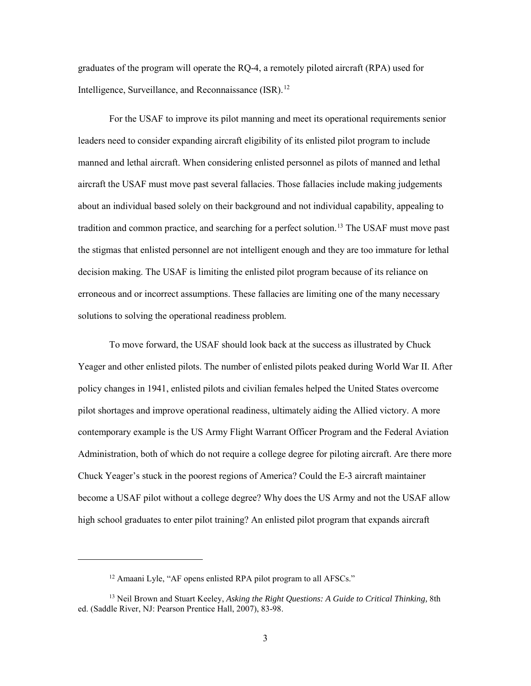graduates of the program will operate the RQ-4, a remotely piloted aircraft (RPA) used for Intelligence, Surveillance, and Reconnaissance (ISR).<sup>[12](#page-10-0)</sup>

For the USAF to improve its pilot manning and meet its operational requirements senior leaders need to consider expanding aircraft eligibility of its enlisted pilot program to include manned and lethal aircraft. When considering enlisted personnel as pilots of manned and lethal aircraft the USAF must move past several fallacies. Those fallacies include making judgements about an individual based solely on their background and not individual capability, appealing to tradition and common practice, and searching for a perfect solution.<sup>[13](#page-10-1)</sup> The USAF must move past the stigmas that enlisted personnel are not intelligent enough and they are too immature for lethal decision making. The USAF is limiting the enlisted pilot program because of its reliance on erroneous and or incorrect assumptions. These fallacies are limiting one of the many necessary solutions to solving the operational readiness problem.

 To move forward, the USAF should look back at the success as illustrated by Chuck Yeager and other enlisted pilots. The number of enlisted pilots peaked during World War II. After policy changes in 1941, enlisted pilots and civilian females helped the United States overcome pilot shortages and improve operational readiness, ultimately aiding the Allied victory. A more contemporary example is the US Army Flight Warrant Officer Program and the Federal Aviation Administration, both of which do not require a college degree for piloting aircraft. Are there more Chuck Yeager's stuck in the poorest regions of America? Could the E-3 aircraft maintainer become a USAF pilot without a college degree? Why does the US Army and not the USAF allow high school graduates to enter pilot training? An enlisted pilot program that expands aircraft

 $12$  Amaani Lyle, "AF opens enlisted RPA pilot program to all AFSCs."

<span id="page-10-1"></span><span id="page-10-0"></span><sup>13</sup> Neil Brown and Stuart Keeley, *Asking the Right Questions: A Guide to Critical Thinking,* 8th ed. (Saddle River, NJ: Pearson Prentice Hall, 2007), 83-98.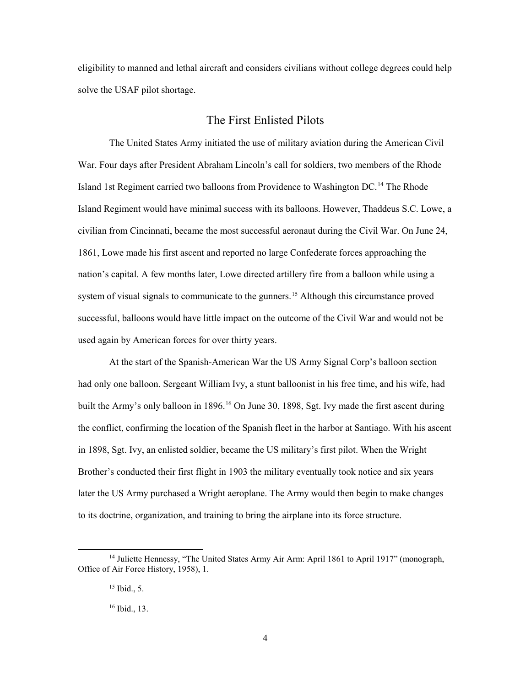eligibility to manned and lethal aircraft and considers civilians without college degrees could help solve the USAF pilot shortage.

## The First Enlisted Pilots

<span id="page-11-0"></span>The United States Army initiated the use of military aviation during the American Civil War. Four days after President Abraham Lincoln's call for soldiers, two members of the Rhode Island 1st Regiment carried two balloons from Providence to Washington DC.<sup>[14](#page-11-1)</sup> The Rhode Island Regiment would have minimal success with its balloons. However, Thaddeus S.C. Lowe, a civilian from Cincinnati, became the most successful aeronaut during the Civil War. On June 24, 1861, Lowe made his first ascent and reported no large Confederate forces approaching the nation's capital. A few months later, Lowe directed artillery fire from a balloon while using a system of visual signals to communicate to the gunners.<sup>[15](#page-11-2)</sup> Although this circumstance proved successful, balloons would have little impact on the outcome of the Civil War and would not be used again by American forces for over thirty years.

At the start of the Spanish-American War the US Army Signal Corp's balloon section had only one balloon. Sergeant William Ivy, a stunt balloonist in his free time, and his wife, had built the Army's only balloon in 1896.<sup>[16](#page-11-3)</sup> On June 30, 1898, Sgt. Ivy made the first ascent during the conflict, confirming the location of the Spanish fleet in the harbor at Santiago. With his ascent in 1898, Sgt. Ivy, an enlisted soldier, became the US military's first pilot. When the Wright Brother's conducted their first flight in 1903 the military eventually took notice and six years later the US Army purchased a Wright aeroplane. The Army would then begin to make changes to its doctrine, organization, and training to bring the airplane into its force structure.

<span id="page-11-3"></span><span id="page-11-2"></span><span id="page-11-1"></span><sup>&</sup>lt;sup>14</sup> Juliette Hennessy, "The United States Army Air Arm: April 1861 to April 1917" (monograph, Office of Air Force History, 1958), 1.

<sup>15</sup> Ibid., 5.

<sup>16</sup> Ibid., 13.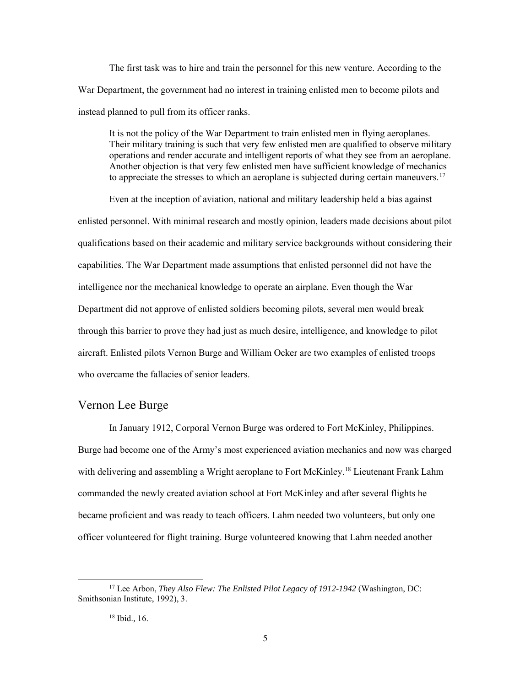The first task was to hire and train the personnel for this new venture. According to the War Department, the government had no interest in training enlisted men to become pilots and instead planned to pull from its officer ranks.

It is not the policy of the War Department to train enlisted men in flying aeroplanes. Their military training is such that very few enlisted men are qualified to observe military operations and render accurate and intelligent reports of what they see from an aeroplane. Another objection is that very few enlisted men have sufficient knowledge of mechanics to appreciate the stresses to which an aeroplane is subjected during certain maneuvers.<sup>17</sup>

Even at the inception of aviation, national and military leadership held a bias against enlisted personnel. With minimal research and mostly opinion, leaders made decisions about pilot qualifications based on their academic and military service backgrounds without considering their capabilities. The War Department made assumptions that enlisted personnel did not have the intelligence nor the mechanical knowledge to operate an airplane. Even though the War Department did not approve of enlisted soldiers becoming pilots, several men would break through this barrier to prove they had just as much desire, intelligence, and knowledge to pilot aircraft. Enlisted pilots Vernon Burge and William Ocker are two examples of enlisted troops who overcame the fallacies of senior leaders.

#### <span id="page-12-0"></span>Vernon Lee Burge

 In January 1912, Corporal Vernon Burge was ordered to Fort McKinley, Philippines. Burge had become one of the Army's most experienced aviation mechanics and now was charged with delivering and assembling a Wright aeroplane to Fort McKinley.<sup>[18](#page-12-2)</sup> Lieutenant Frank Lahm commanded the newly created aviation school at Fort McKinley and after several flights he became proficient and was ready to teach officers. Lahm needed two volunteers, but only one officer volunteered for flight training. Burge volunteered knowing that Lahm needed another

<span id="page-12-2"></span><span id="page-12-1"></span><sup>&</sup>lt;sup>17</sup> Lee Arbon, *They Also Flew: The Enlisted Pilot Legacy of 1912-1942* (Washington, DC: Smithsonian Institute, 1992), 3.

<sup>18</sup> Ibid.*,* 16.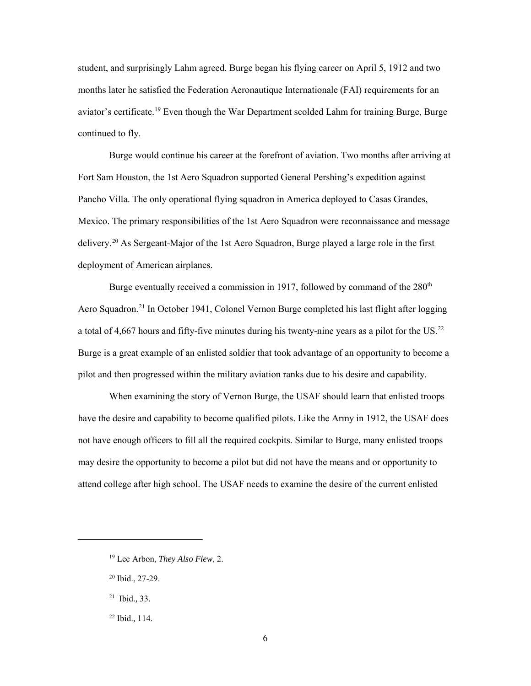student, and surprisingly Lahm agreed. Burge began his flying career on April 5, 1912 and two months later he satisfied the Federation Aeronautique Internationale (FAI) requirements for an aviator's certificate.<sup>[19](#page-13-0)</sup> Even though the War Department scolded Lahm for training Burge, Burge continued to fly.

 Burge would continue his career at the forefront of aviation. Two months after arriving at Fort Sam Houston, the 1st Aero Squadron supported General Pershing's expedition against Pancho Villa. The only operational flying squadron in America deployed to Casas Grandes, Mexico. The primary responsibilities of the 1st Aero Squadron were reconnaissance and message delivery. [20](#page-13-1) As Sergeant-Major of the 1st Aero Squadron, Burge played a large role in the first deployment of American airplanes.

Burge eventually received a commission in 1917, followed by command of the 280<sup>th</sup> Aero Squadron.<sup>[21](#page-13-2)</sup> In October 1941, Colonel Vernon Burge completed his last flight after logging a total of 4,667 hours and fifty-five minutes during his twenty-nine years as a pilot for the US.<sup>[22](#page-13-3)</sup> Burge is a great example of an enlisted soldier that took advantage of an opportunity to become a pilot and then progressed within the military aviation ranks due to his desire and capability.

When examining the story of Vernon Burge, the USAF should learn that enlisted troops have the desire and capability to become qualified pilots. Like the Army in 1912, the USAF does not have enough officers to fill all the required cockpits. Similar to Burge, many enlisted troops may desire the opportunity to become a pilot but did not have the means and or opportunity to attend college after high school. The USAF needs to examine the desire of the current enlisted

<span id="page-13-0"></span><sup>19</sup> Lee Arbon, *They Also Flew*, 2.

<span id="page-13-1"></span><sup>20</sup> Ibid., 27-29.

<span id="page-13-2"></span><sup>21</sup> Ibid.*,* 33.

<span id="page-13-3"></span><sup>22</sup> Ibid.*,* 114.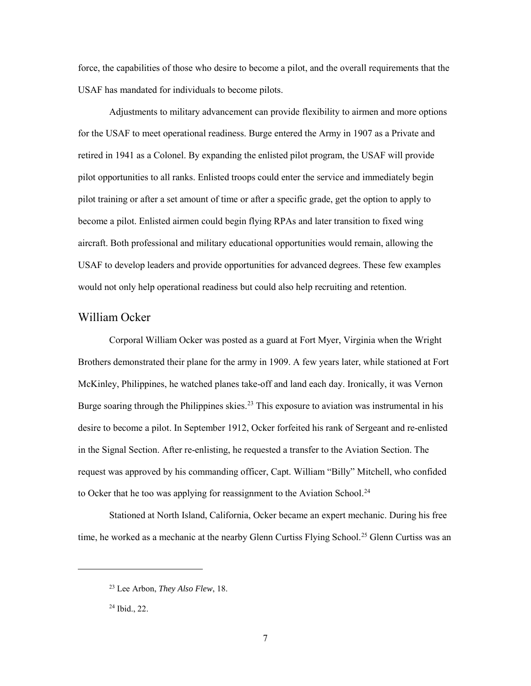force, the capabilities of those who desire to become a pilot, and the overall requirements that the USAF has mandated for individuals to become pilots.

 Adjustments to military advancement can provide flexibility to airmen and more options for the USAF to meet operational readiness. Burge entered the Army in 1907 as a Private and retired in 1941 as a Colonel. By expanding the enlisted pilot program, the USAF will provide pilot opportunities to all ranks. Enlisted troops could enter the service and immediately begin pilot training or after a set amount of time or after a specific grade, get the option to apply to become a pilot. Enlisted airmen could begin flying RPAs and later transition to fixed wing aircraft. Both professional and military educational opportunities would remain, allowing the USAF to develop leaders and provide opportunities for advanced degrees. These few examples would not only help operational readiness but could also help recruiting and retention.

#### <span id="page-14-0"></span>William Ocker

 Corporal William Ocker was posted as a guard at Fort Myer, Virginia when the Wright Brothers demonstrated their plane for the army in 1909. A few years later, while stationed at Fort McKinley, Philippines, he watched planes take-off and land each day. Ironically, it was Vernon Burge soaring through the Philippines skies.<sup>[23](#page-14-1)</sup> This exposure to aviation was instrumental in his desire to become a pilot. In September 1912, Ocker forfeited his rank of Sergeant and re-enlisted in the Signal Section. After re-enlisting, he requested a transfer to the Aviation Section. The request was approved by his commanding officer, Capt. William "Billy" Mitchell, who confided to Ocker that he too was applying for reassignment to the Aviation School.<sup>[24](#page-14-2)</sup>

<span id="page-14-3"></span><span id="page-14-1"></span>Stationed at North Island, California, Ocker became an expert mechanic. During his free time, he worked as a mechanic at the nearby Glenn Curtiss Flying School.<sup>25</sup> Glenn Curtiss was an

<sup>23</sup> Lee Arbon, *They Also Flew*, 18.

<span id="page-14-2"></span> <sup>24</sup> Ibid., 22.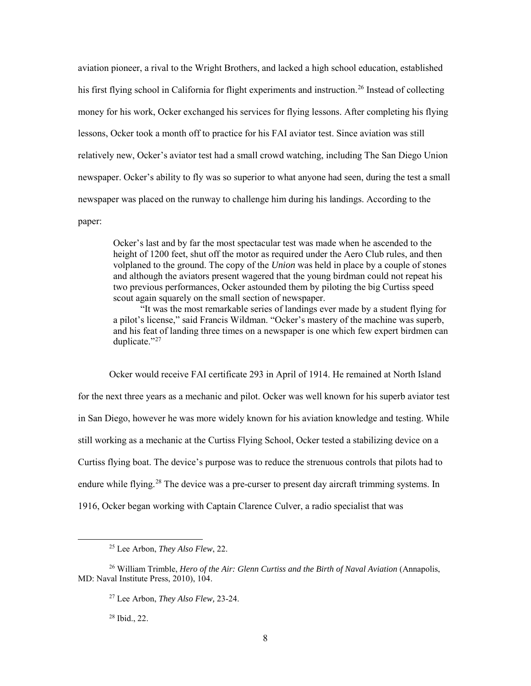aviation pioneer, a rival to the Wright Brothers, and lacked a high school education, established his first flying school in California for flight experiments and instruction.<sup>[26](#page-15-0)</sup> Instead of collecting money for his work, Ocker exchanged his services for flying lessons. After completing his flying lessons, Ocker took a month off to practice for his FAI aviator test. Since aviation was still relatively new, Ocker's aviator test had a small crowd watching, including The San Diego Union newspaper. Ocker's ability to fly was so superior to what anyone had seen, during the test a small newspaper was placed on the runway to challenge him during his landings. According to the paper:

Ocker's last and by far the most spectacular test was made when he ascended to the height of 1200 feet, shut off the motor as required under the Aero Club rules, and then volplaned to the ground. The copy of the *Union* was held in place by a couple of stones and although the aviators present wagered that the young birdman could not repeat his two previous performances, Ocker astounded them by piloting the big Curtiss speed scout again squarely on the small section of newspaper.

"It was the most remarkable series of landings ever made by a student flying for a pilot's license," said Francis Wildman. "Ocker's mastery of the machine was superb, and his feat of landing three times on a newspaper is one which few expert birdmen can duplicate." $27$ 

Ocker would receive FAI certificate 293 in April of 1914. He remained at North Island for the next three years as a mechanic and pilot. Ocker was well known for his superb aviator test in San Diego, however he was more widely known for his aviation knowledge and testing. While still working as a mechanic at the Curtiss Flying School, Ocker tested a stabilizing device on a Curtiss flying boat. The device's purpose was to reduce the strenuous controls that pilots had to endure while flying.<sup>[28](#page-15-2)</sup> The device was a pre-curser to present day aircraft trimming systems. In 1916, Ocker began working with Captain Clarence Culver, a radio specialist that was

<sup>28</sup> Ibid., 22.

 <sup>25</sup> Lee Arbon, *They Also Flew*, 22.

<span id="page-15-2"></span><span id="page-15-1"></span><span id="page-15-0"></span><sup>26</sup> William Trimble, *Hero of the Air: Glenn Curtiss and the Birth of Naval Aviation* (Annapolis, MD: Naval Institute Press, 2010), 104.

<sup>27</sup> Lee Arbon, *They Also Flew,* 23-24.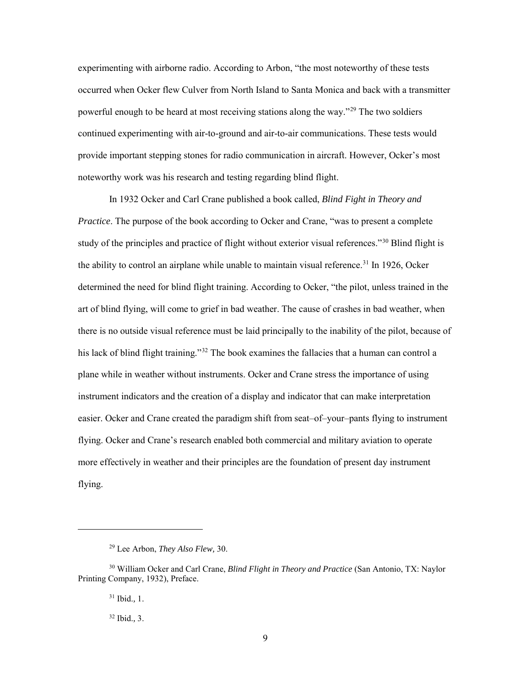experimenting with airborne radio. According to Arbon, "the most noteworthy of these tests occurred when Ocker flew Culver from North Island to Santa Monica and back with a transmitter powerful enough to be heard at most receiving stations along the way."[29](#page-16-0) The two soldiers continued experimenting with air-to-ground and air-to-air communications. These tests would provide important stepping stones for radio communication in aircraft. However, Ocker's most noteworthy work was his research and testing regarding blind flight.

 In 1932 Ocker and Carl Crane published a book called, *Blind Fight in Theory and Practice*. The purpose of the book according to Ocker and Crane, "was to present a complete study of the principles and practice of flight without exterior visual references."<sup>[30](#page-16-1)</sup> Blind flight is the ability to control an airplane while unable to maintain visual reference.<sup>31</sup> In 1926, Ocker determined the need for blind flight training. According to Ocker, "the pilot, unless trained in the art of blind flying, will come to grief in bad weather. The cause of crashes in bad weather, when there is no outside visual reference must be laid principally to the inability of the pilot, because of his lack of blind flight training."<sup>[32](#page-16-3)</sup> The book examines the fallacies that a human can control a plane while in weather without instruments. Ocker and Crane stress the importance of using instrument indicators and the creation of a display and indicator that can make interpretation easier. Ocker and Crane created the paradigm shift from seat–of–your–pants flying to instrument flying. Ocker and Crane's research enabled both commercial and military aviation to operate more effectively in weather and their principles are the foundation of present day instrument flying.

<sup>29</sup> Lee Arbon, *They Also Flew,* 30.

<span id="page-16-3"></span><span id="page-16-2"></span><span id="page-16-1"></span><span id="page-16-0"></span><sup>30</sup> William Ocker and Carl Crane, *Blind Flight in Theory and Practice* (San Antonio, TX: Naylor Printing Company, 1932), Preface.

<sup>31</sup> Ibid.*,* 1.

<sup>32</sup> Ibid.*,* 3.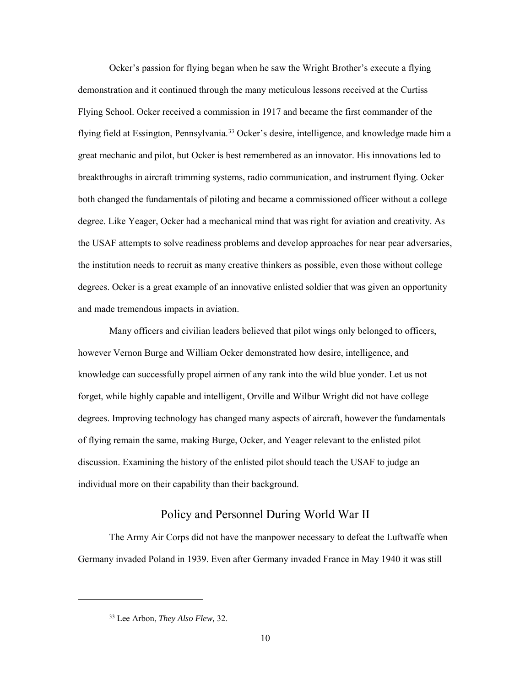Ocker's passion for flying began when he saw the Wright Brother's execute a flying demonstration and it continued through the many meticulous lessons received at the Curtiss Flying School. Ocker received a commission in 1917 and became the first commander of the flying field at Essington, Pennsylvania.<sup>33</sup> Ocker's desire, intelligence, and knowledge made him a great mechanic and pilot, but Ocker is best remembered as an innovator. His innovations led to breakthroughs in aircraft trimming systems, radio communication, and instrument flying. Ocker both changed the fundamentals of piloting and became a commissioned officer without a college degree. Like Yeager, Ocker had a mechanical mind that was right for aviation and creativity. As the USAF attempts to solve readiness problems and develop approaches for near pear adversaries, the institution needs to recruit as many creative thinkers as possible, even those without college degrees. Ocker is a great example of an innovative enlisted soldier that was given an opportunity and made tremendous impacts in aviation.

Many officers and civilian leaders believed that pilot wings only belonged to officers, however Vernon Burge and William Ocker demonstrated how desire, intelligence, and knowledge can successfully propel airmen of any rank into the wild blue yonder. Let us not forget, while highly capable and intelligent, Orville and Wilbur Wright did not have college degrees. Improving technology has changed many aspects of aircraft, however the fundamentals of flying remain the same, making Burge, Ocker, and Yeager relevant to the enlisted pilot discussion. Examining the history of the enlisted pilot should teach the USAF to judge an individual more on their capability than their background.

#### Policy and Personnel During World War II

<span id="page-17-0"></span> The Army Air Corps did not have the manpower necessary to defeat the Luftwaffe when Germany invaded Poland in 1939. Even after Germany invaded France in May 1940 it was still

<span id="page-17-1"></span><sup>33</sup> Lee Arbon, *They Also Flew,* 32.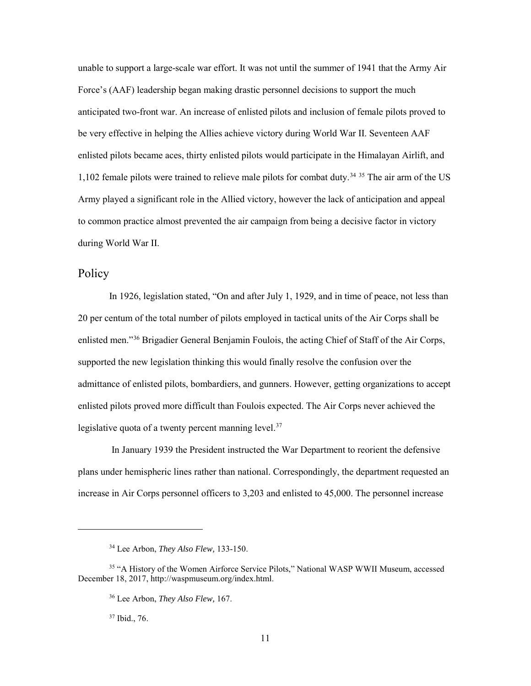unable to support a large-scale war effort. It was not until the summer of 1941 that the Army Air Force's (AAF) leadership began making drastic personnel decisions to support the much anticipated two-front war. An increase of enlisted pilots and inclusion of female pilots proved to be very effective in helping the Allies achieve victory during World War II. Seventeen AAF enlisted pilots became aces, thirty enlisted pilots would participate in the Himalayan Airlift, and 1,102 female pilots were trained to relieve male pilots for combat duty.<sup>[34](#page-18-1) [35](#page-18-2)</sup> The air arm of the US Army played a significant role in the Allied victory, however the lack of anticipation and appeal to common practice almost prevented the air campaign from being a decisive factor in victory during World War II.

## <span id="page-18-0"></span>**Policy**

<span id="page-18-1"></span> $\overline{a}$ 

 In 1926, legislation stated, "On and after July 1, 1929, and in time of peace, not less than 20 per centum of the total number of pilots employed in tactical units of the Air Corps shall be enlisted men."[36](#page-18-3) Brigadier General Benjamin Foulois, the acting Chief of Staff of the Air Corps, supported the new legislation thinking this would finally resolve the confusion over the admittance of enlisted pilots, bombardiers, and gunners. However, getting organizations to accept enlisted pilots proved more difficult than Foulois expected. The Air Corps never achieved the legislative quota of a twenty percent manning level. $37$ 

 In January 1939 the President instructed the War Department to reorient the defensive plans under hemispheric lines rather than national. Correspondingly, the department requested an increase in Air Corps personnel officers to 3,203 and enlisted to 45,000. The personnel increase

<sup>37</sup> Ibid., 76.

 <sup>34</sup> Lee Arbon, *They Also Flew,* 133-150.

<span id="page-18-4"></span><span id="page-18-3"></span><span id="page-18-2"></span><sup>35</sup> "A History of the Women Airforce Service Pilots," National WASP WWII Museum, accessed December 18, 2017, http://waspmuseum.org/index.html.

<sup>36</sup> Lee Arbon, *They Also Flew,* 167.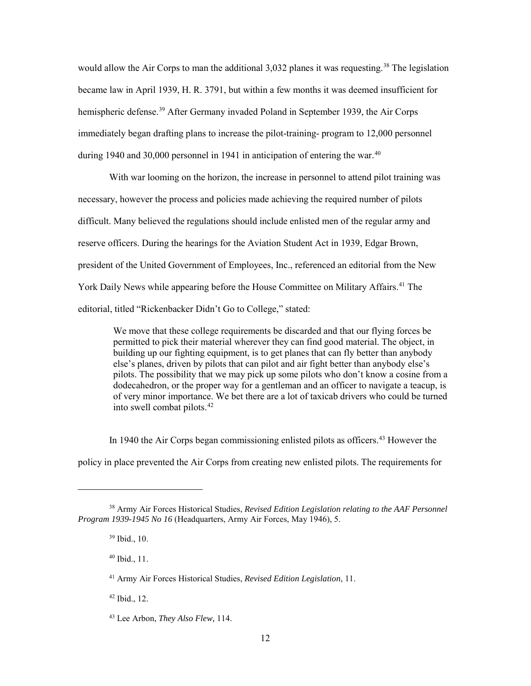would allow the Air Corps to man the additional  $3,032$  planes it was requesting.<sup>[38](#page-19-0)</sup> The legislation became law in April 1939, H. R. 3791, but within a few months it was deemed insufficient for hemispheric defense.<sup>[39](#page-19-1)</sup> After Germany invaded Poland in September 1939, the Air Corps immediately began drafting plans to increase the pilot-training- program to 12,000 personnel during 19[40](#page-19-2) and 30,000 personnel in 1941 in anticipation of entering the war.<sup>40</sup>

With war looming on the horizon, the increase in personnel to attend pilot training was necessary, however the process and policies made achieving the required number of pilots difficult. Many believed the regulations should include enlisted men of the regular army and reserve officers. During the hearings for the Aviation Student Act in 1939, Edgar Brown, president of the United Government of Employees, Inc., referenced an editorial from the New York Daily News while appearing before the House Committee on Military Affairs.<sup>[41](#page-19-3)</sup> The editorial, titled "Rickenbacker Didn't Go to College," stated:

We move that these college requirements be discarded and that our flying forces be permitted to pick their material wherever they can find good material. The object, in building up our fighting equipment, is to get planes that can fly better than anybody else's planes, driven by pilots that can pilot and air fight better than anybody else's pilots. The possibility that we may pick up some pilots who don't know a cosine from a dodecahedron, or the proper way for a gentleman and an officer to navigate a teacup, is of very minor importance. We bet there are a lot of taxicab drivers who could be turned into swell combat pilots.[42](#page-19-4)

In 1940 the Air Corps began commissioning enlisted pilots as officers.<sup>[43](#page-19-5)</sup> However the policy in place prevented the Air Corps from creating new enlisted pilots. The requirements for

 $\overline{a}$ 

<span id="page-19-4"></span><sup>42</sup> Ibid., 12.

<span id="page-19-3"></span><span id="page-19-2"></span><span id="page-19-1"></span><span id="page-19-0"></span><sup>38</sup> Army Air Forces Historical Studies, *Revised Edition Legislation relating to the AAF Personnel Program 1939-1945 No 16* (Headquarters, Army Air Forces, May 1946), 5.

<sup>39</sup> Ibid., 10.

<sup>40</sup> Ibid., 11.

<sup>41</sup> Army Air Forces Historical Studies, *Revised Edition Legislation*, 11.

<span id="page-19-5"></span><sup>43</sup> Lee Arbon, *They Also Flew,* 114.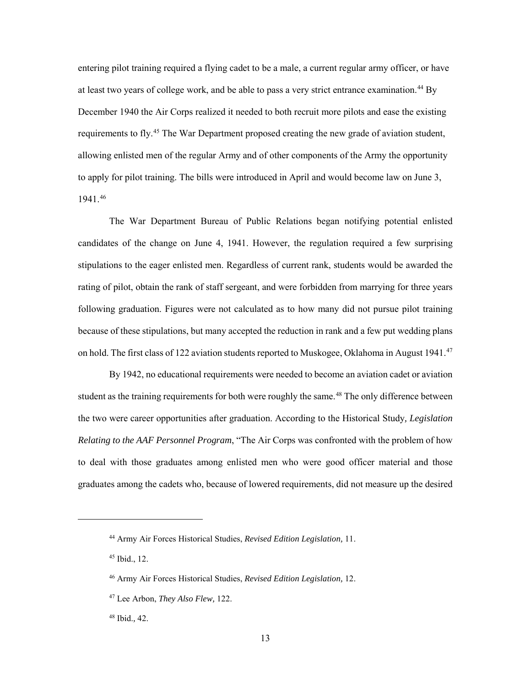entering pilot training required a flying cadet to be a male, a current regular army officer, or have at least two years of college work, and be able to pass a very strict entrance examination.<sup>44</sup> By December 1940 the Air Corps realized it needed to both recruit more pilots and ease the existing requirements to fly.<sup>[45](#page-20-1)</sup> The War Department proposed creating the new grade of aviation student, allowing enlisted men of the regular Army and of other components of the Army the opportunity to apply for pilot training. The bills were introduced in April and would become law on June 3, 1941.[46](#page-20-2)

The War Department Bureau of Public Relations began notifying potential enlisted candidates of the change on June 4, 1941. However, the regulation required a few surprising stipulations to the eager enlisted men. Regardless of current rank, students would be awarded the rating of pilot, obtain the rank of staff sergeant, and were forbidden from marrying for three years following graduation. Figures were not calculated as to how many did not pursue pilot training because of these stipulations, but many accepted the reduction in rank and a few put wedding plans on hold. The first class of 122 aviation students reported to Muskogee, Oklahoma in August 1941.<sup>[47](#page-20-3)</sup>

By 1942, no educational requirements were needed to become an aviation cadet or aviation student as the training requirements for both were roughly the same.<sup>[48](#page-20-4)</sup> The only difference between the two were career opportunities after graduation. According to the Historical Study*, Legislation Relating to the AAF Personnel Program*, "The Air Corps was confronted with the problem of how to deal with those graduates among enlisted men who were good officer material and those graduates among the cadets who, because of lowered requirements, did not measure up the desired

<span id="page-20-0"></span><sup>44</sup> Army Air Forces Historical Studies, *Revised Edition Legislation,* 11.

<span id="page-20-1"></span><sup>45</sup> Ibid., 12.

<span id="page-20-2"></span><sup>46</sup> Army Air Forces Historical Studies, *Revised Edition Legislation,* 12.

<span id="page-20-3"></span><sup>47</sup> Lee Arbon, *They Also Flew,* 122.

<span id="page-20-4"></span><sup>48</sup> Ibid.*,* 42.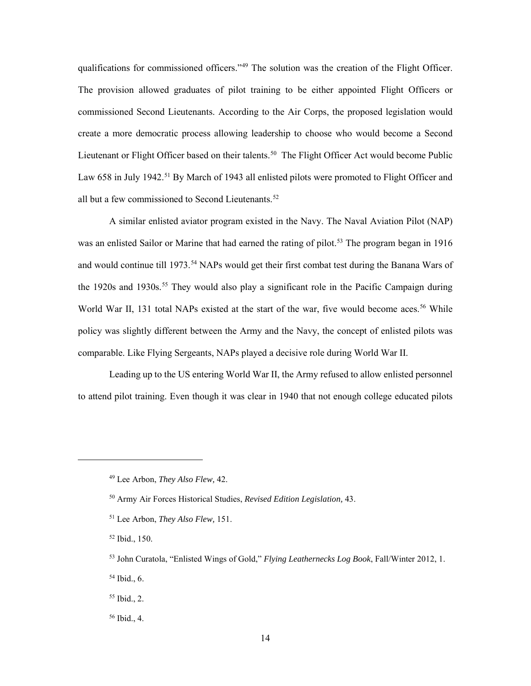qualifications for commissioned officers."<sup>[49](#page-21-0)</sup> The solution was the creation of the Flight Officer. The provision allowed graduates of pilot training to be either appointed Flight Officers or commissioned Second Lieutenants. According to the Air Corps, the proposed legislation would create a more democratic process allowing leadership to choose who would become a Second Lieutenant or Flight Officer based on their talents.<sup>50</sup> The Flight Officer Act would become Public Law 658 in July 1942.<sup>[51](#page-21-2)</sup> By March of 1943 all enlisted pilots were promoted to Flight Officer and all but a few commissioned to Second Lieutenants.<sup>[52](#page-21-3)</sup>

A similar enlisted aviator program existed in the Navy. The Naval Aviation Pilot (NAP) was an enlisted Sailor or Marine that had earned the rating of pilot.<sup>[53](#page-21-4)</sup> The program began in 1916 and would continue till 1973.<sup>[54](#page-21-5)</sup> NAPs would get their first combat test during the Banana Wars of the 1920s and 1930s. [55](#page-21-6) They would also play a significant role in the Pacific Campaign during World War II, 131 total NAPs existed at the start of the war, five would become aces.<sup>56</sup> While policy was slightly different between the Army and the Navy, the concept of enlisted pilots was comparable. Like Flying Sergeants, NAPs played a decisive role during World War II.

 Leading up to the US entering World War II, the Army refused to allow enlisted personnel to attend pilot training. Even though it was clear in 1940 that not enough college educated pilots

<span id="page-21-3"></span><sup>52</sup> Ibid., 150.

<span id="page-21-0"></span><sup>49</sup> Lee Arbon, *They Also Flew,* 42.

<span id="page-21-1"></span><sup>50</sup> Army Air Forces Historical Studies, *Revised Edition Legislation,* 43.

<span id="page-21-2"></span> <sup>51</sup> Lee Arbon, *They Also Flew,* 151.

<span id="page-21-4"></span><sup>53</sup> John Curatola, "Enlisted Wings of Gold," *Flying Leathernecks Log Book*, Fall/Winter 2012, 1.

<span id="page-21-5"></span><sup>54</sup> Ibid., 6.

<span id="page-21-6"></span> <sup>55</sup> Ibid., 2.

<span id="page-21-7"></span><sup>56</sup> Ibid., 4.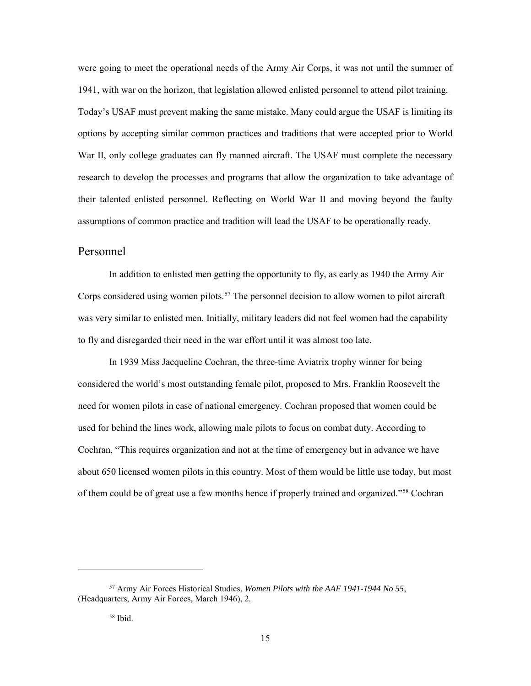were going to meet the operational needs of the Army Air Corps, it was not until the summer of 1941, with war on the horizon, that legislation allowed enlisted personnel to attend pilot training. Today's USAF must prevent making the same mistake. Many could argue the USAF is limiting its options by accepting similar common practices and traditions that were accepted prior to World War II, only college graduates can fly manned aircraft. The USAF must complete the necessary research to develop the processes and programs that allow the organization to take advantage of their talented enlisted personnel. Reflecting on World War II and moving beyond the faulty assumptions of common practice and tradition will lead the USAF to be operationally ready.

#### <span id="page-22-0"></span>Personnel

 In addition to enlisted men getting the opportunity to fly, as early as 1940 the Army Air Corps considered using women pilots.<sup>57</sup> The personnel decision to allow women to pilot aircraft was very similar to enlisted men. Initially, military leaders did not feel women had the capability to fly and disregarded their need in the war effort until it was almost too late.

 In 1939 Miss Jacqueline Cochran, the three-time Aviatrix trophy winner for being considered the world's most outstanding female pilot, proposed to Mrs. Franklin Roosevelt the need for women pilots in case of national emergency. Cochran proposed that women could be used for behind the lines work, allowing male pilots to focus on combat duty. According to Cochran, "This requires organization and not at the time of emergency but in advance we have about 650 licensed women pilots in this country. Most of them would be little use today, but most of them could be of great use a few months hence if properly trained and organized."[58](#page-22-2) Cochran

<span id="page-22-2"></span><span id="page-22-1"></span><sup>57</sup> Army Air Forces Historical Studies, *Women Pilots with the AAF 1941-1944 No 55*, (Headquarters, Army Air Forces, March 1946), 2.

<sup>58</sup> Ibid.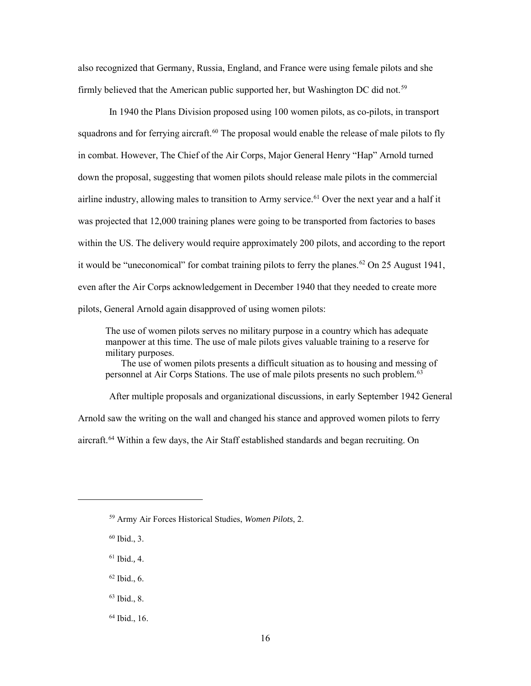also recognized that Germany, Russia, England, and France were using female pilots and she firmly believed that the American public supported her, but Washington DC did not. [59](#page-23-0) 

 In 1940 the Plans Division proposed using 100 women pilots, as co-pilots, in transport squadrons and for ferrying aircraft.<sup>[60](#page-23-1)</sup> The proposal would enable the release of male pilots to fly in combat. However, The Chief of the Air Corps, Major General Henry "Hap" Arnold turned down the proposal, suggesting that women pilots should release male pilots in the commercial airline industry, allowing males to transition to Army service.<sup>61</sup> Over the next year and a half it was projected that 12,000 training planes were going to be transported from factories to bases within the US. The delivery would require approximately 200 pilots, and according to the report it would be "uneconomical" for combat training pilots to ferry the planes.<sup>[62](#page-23-3)</sup> On 25 August 1941, even after the Air Corps acknowledgement in December 1940 that they needed to create more pilots, General Arnold again disapproved of using women pilots:

The use of women pilots serves no military purpose in a country which has adequate manpower at this time. The use of male pilots gives valuable training to a reserve for military purposes.

The use of women pilots presents a difficult situation as to housing and messing of personnel at Air Corps Stations. The use of male pilots presents no such problem.<sup>63</sup>

After multiple proposals and organizational discussions, in early September 1942 General

Arnold saw the writing on the wall and changed his stance and approved women pilots to ferry

aircraft.[64](#page-23-5) Within a few days, the Air Staff established standards and began recruiting. On

<sup>60</sup> Ibid., 3.

<span id="page-23-2"></span><span id="page-23-1"></span><span id="page-23-0"></span> $\overline{a}$ 

<sup>61</sup> Ibid.*,* 4.

<span id="page-23-3"></span> $62$  Ibid., 6.

<span id="page-23-4"></span><sup>63</sup> Ibid., 8.

<span id="page-23-5"></span><sup>64</sup> Ibid., 16.

<sup>59</sup> Army Air Forces Historical Studies, *Women Pilots*, 2.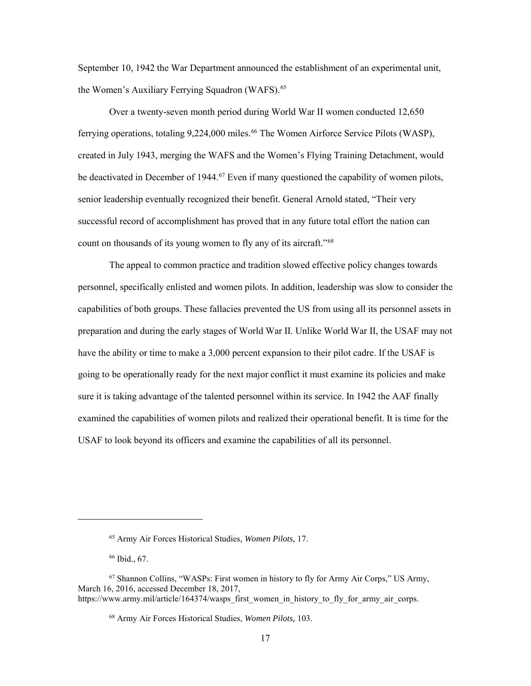September 10, 1942 the War Department announced the establishment of an experimental unit, the Women's Auxiliary Ferrying Squadron (WAFS).<sup>[65](#page-24-0)</sup>

Over a twenty-seven month period during World War II women conducted 12,650 ferrying operations, totaling 9,224,000 miles.<sup>[66](#page-24-1)</sup> The Women Airforce Service Pilots (WASP), created in July 1943, merging the WAFS and the Women's Flying Training Detachment, would be deactivated in December of 1944.<sup>67</sup> Even if many questioned the capability of women pilots, senior leadership eventually recognized their benefit. General Arnold stated, "Their very successful record of accomplishment has proved that in any future total effort the nation can count on thousands of its young women to fly any of its aircraft."[68](#page-24-3) 

 The appeal to common practice and tradition slowed effective policy changes towards personnel, specifically enlisted and women pilots. In addition, leadership was slow to consider the capabilities of both groups. These fallacies prevented the US from using all its personnel assets in preparation and during the early stages of World War II. Unlike World War II, the USAF may not have the ability or time to make a 3,000 percent expansion to their pilot cadre. If the USAF is going to be operationally ready for the next major conflict it must examine its policies and make sure it is taking advantage of the talented personnel within its service. In 1942 the AAF finally examined the capabilities of women pilots and realized their operational benefit. It is time for the USAF to look beyond its officers and examine the capabilities of all its personnel.

<sup>65</sup> Army Air Forces Historical Studies, *Women Pilots,* 17.

<sup>66</sup> Ibid., 67.

<span id="page-24-3"></span><span id="page-24-2"></span><span id="page-24-1"></span><span id="page-24-0"></span> $67$  Shannon Collins, "WASPs: First women in history to fly for Army Air Corps," US Army, March 16, 2016, accessed December 18, 2017, https://www.army.mil/article/164374/wasps\_first\_women\_in\_history\_to\_fly\_for\_army\_air\_corps.

<sup>68</sup> Army Air Forces Historical Studies, *Women Pilots,* 103.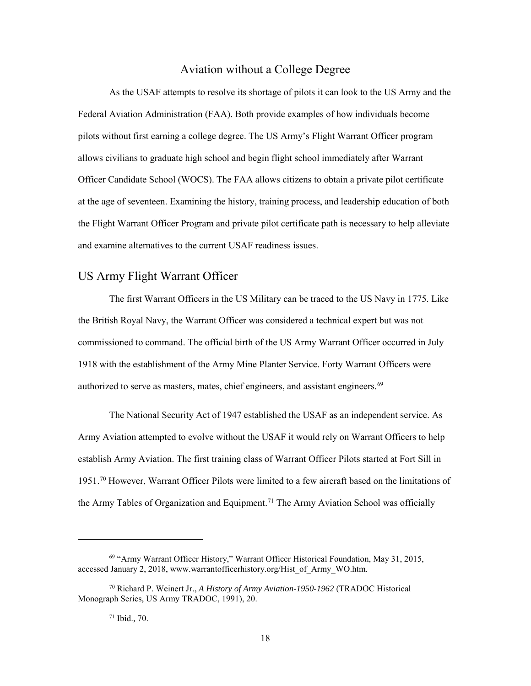#### Aviation without a College Degree

<span id="page-25-0"></span>As the USAF attempts to resolve its shortage of pilots it can look to the US Army and the Federal Aviation Administration (FAA). Both provide examples of how individuals become pilots without first earning a college degree. The US Army's Flight Warrant Officer program allows civilians to graduate high school and begin flight school immediately after Warrant Officer Candidate School (WOCS). The FAA allows citizens to obtain a private pilot certificate at the age of seventeen. Examining the history, training process, and leadership education of both the Flight Warrant Officer Program and private pilot certificate path is necessary to help alleviate and examine alternatives to the current USAF readiness issues.

#### <span id="page-25-1"></span>US Army Flight Warrant Officer

The first Warrant Officers in the US Military can be traced to the US Navy in 1775. Like the British Royal Navy, the Warrant Officer was considered a technical expert but was not commissioned to command. The official birth of the US Army Warrant Officer occurred in July 1918 with the establishment of the Army Mine Planter Service. Forty Warrant Officers were authorized to serve as masters, mates, chief engineers, and assistant engineers.<sup>[69](#page-25-2)</sup>

 The National Security Act of 1947 established the USAF as an independent service. As Army Aviation attempted to evolve without the USAF it would rely on Warrant Officers to help establish Army Aviation. The first training class of Warrant Officer Pilots started at Fort Sill in 1951.[70](#page-25-3) However, Warrant Officer Pilots were limited to a few aircraft based on the limitations of the Army Tables of Organization and Equipment.<sup>[71](#page-25-4)</sup> The Army Aviation School was officially

<span id="page-25-2"></span><sup>69</sup> "Army Warrant Officer History," Warrant Officer Historical Foundation, May 31, 2015, accessed January 2, 2018, www.warrantofficerhistory.org/Hist\_of\_Army\_WO.htm.

<span id="page-25-4"></span><span id="page-25-3"></span><sup>70</sup> Richard P. Weinert Jr., *A History of Army Aviation-1950-1962* (TRADOC Historical Monograph Series, US Army TRADOC, 1991), 20.

<sup>71</sup> Ibid.*,* 70.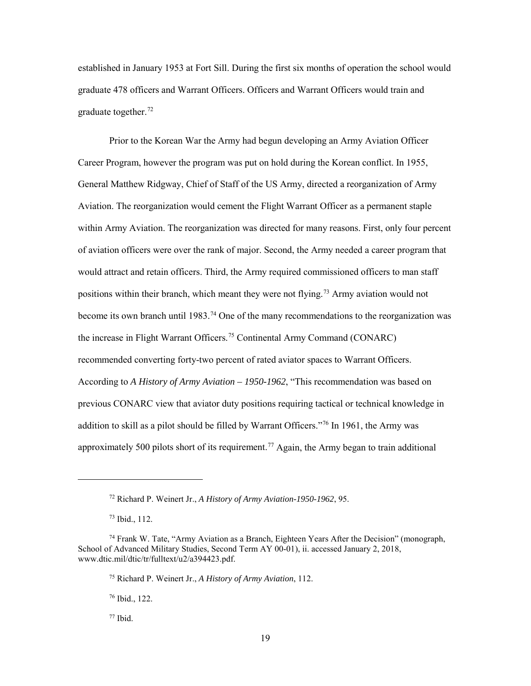established in January 1953 at Fort Sill. During the first six months of operation the school would graduate 478 officers and Warrant Officers. Officers and Warrant Officers would train and graduate together.[72](#page-26-0) 

Prior to the Korean War the Army had begun developing an Army Aviation Officer Career Program, however the program was put on hold during the Korean conflict. In 1955, General Matthew Ridgway, Chief of Staff of the US Army, directed a reorganization of Army Aviation. The reorganization would cement the Flight Warrant Officer as a permanent staple within Army Aviation. The reorganization was directed for many reasons. First, only four percent of aviation officers were over the rank of major. Second, the Army needed a career program that would attract and retain officers. Third, the Army required commissioned officers to man staff positions within their branch, which meant they were not flying.[73](#page-26-1) Army aviation would not become its own branch until 1983. [74](#page-26-2) One of the many recommendations to the reorganization was the increase in Flight Warrant Officers.<sup>[75](#page-26-3)</sup> Continental Army Command (CONARC) recommended converting forty-two percent of rated aviator spaces to Warrant Officers. According to *A History of Army Aviation – 1950-1962*, "This recommendation was based on previous CONARC view that aviator duty positions requiring tactical or technical knowledge in addition to skill as a pilot should be filled by Warrant Officers."[76](#page-26-4) In 1961, the Army was approximately 500 pilots short of its requirement.<sup>77</sup> Again, the Army began to train additional

<span id="page-26-0"></span> $\overline{a}$ 

<sup>76</sup> Ibid., 122.

<sup>72</sup> Richard P. Weinert Jr., *A History of Army Aviation-1950-1962*, 95.

<sup>73</sup> Ibid., 112.

<span id="page-26-4"></span><span id="page-26-3"></span><span id="page-26-2"></span><span id="page-26-1"></span> $74$  Frank W. Tate, "Army Aviation as a Branch, Eighteen Years After the Decision" (monograph, School of Advanced Military Studies, Second Term AY 00-01), ii. accessed January 2, 2018, www.dtic.mil/dtic/tr/fulltext/u2/a394423.pdf.

<sup>75</sup> Richard P. Weinert Jr., *A History of Army Aviation*, 112.

<span id="page-26-5"></span> $77$  Ibid.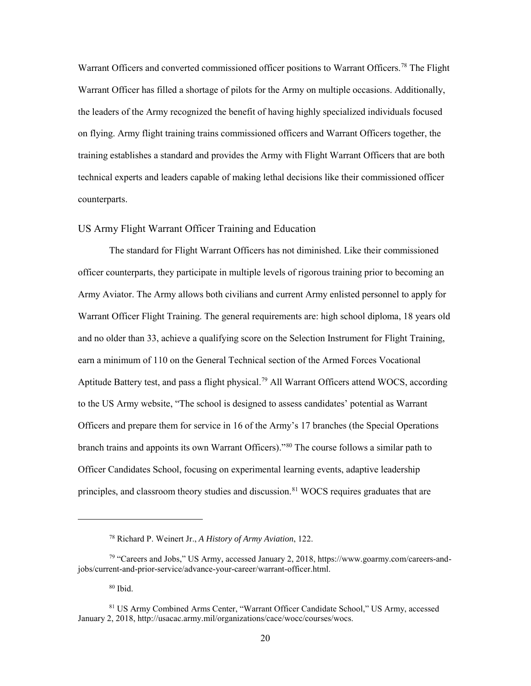Warrant Officers and converted commissioned officer positions to Warrant Officers.<sup>78</sup> The Flight Warrant Officer has filled a shortage of pilots for the Army on multiple occasions. Additionally, the leaders of the Army recognized the benefit of having highly specialized individuals focused on flying. Army flight training trains commissioned officers and Warrant Officers together, the training establishes a standard and provides the Army with Flight Warrant Officers that are both technical experts and leaders capable of making lethal decisions like their commissioned officer counterparts.

#### <span id="page-27-0"></span>US Army Flight Warrant Officer Training and Education

The standard for Flight Warrant Officers has not diminished. Like their commissioned officer counterparts, they participate in multiple levels of rigorous training prior to becoming an Army Aviator. The Army allows both civilians and current Army enlisted personnel to apply for Warrant Officer Flight Training. The general requirements are: high school diploma, 18 years old and no older than 33, achieve a qualifying score on the Selection Instrument for Flight Training, earn a minimum of 110 on the General Technical section of the Armed Forces Vocational Aptitude Battery test, and pass a flight physical.<sup>[79](#page-27-2)</sup> All Warrant Officers attend WOCS, according to the US Army website, "The school is designed to assess candidates' potential as Warrant Officers and prepare them for service in 16 of the Army's 17 branches (the Special Operations branch trains and appoints its own Warrant Officers)."<sup>80</sup> The course follows a similar path to Officer Candidates School, focusing on experimental learning events, adaptive leadership principles, and classroom theory studies and discussion.<sup>[81](#page-27-4)</sup> WOCS requires graduates that are

<sup>80</sup> Ibid.

<sup>78</sup> Richard P. Weinert Jr., *A History of Army Aviation*, 122.

<span id="page-27-2"></span><span id="page-27-1"></span><sup>79</sup> "Careers and Jobs," US Army, accessed January 2, 2018, https://www.goarmy.com/careers-andjobs/current-and-prior-service/advance-your-career/warrant-officer.html.

<span id="page-27-4"></span><span id="page-27-3"></span><sup>81</sup> US Army Combined Arms Center, "Warrant Officer Candidate School," US Army, accessed January 2, 2018, http://usacac.army.mil/organizations/cace/wocc/courses/wocs.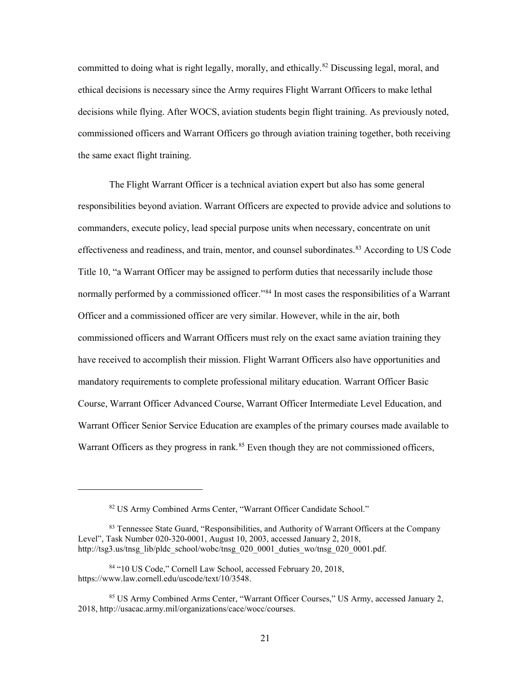committed to doing what is right legally, morally, and ethically.<sup>[82](#page-28-0)</sup> Discussing legal, moral, and ethical decisions is necessary since the Army requires Flight Warrant Officers to make lethal decisions while flying. After WOCS, aviation students begin flight training. As previously noted, commissioned officers and Warrant Officers go through aviation training together, both receiving the same exact flight training.

The Flight Warrant Officer is a technical aviation expert but also has some general responsibilities beyond aviation. Warrant Officers are expected to provide advice and solutions to commanders, execute policy, lead special purpose units when necessary, concentrate on unit effectiveness and readiness, and train, mentor, and counsel subordinates.<sup>[83](#page-28-1)</sup> According to US Code Title 10, "a Warrant Officer may be assigned to perform duties that necessarily include those normally performed by a commissioned officer."<sup>[84](#page-28-2)</sup> In most cases the responsibilities of a Warrant Officer and a commissioned officer are very similar. However, while in the air, both commissioned officers and Warrant Officers must rely on the exact same aviation training they have received to accomplish their mission. Flight Warrant Officers also have opportunities and mandatory requirements to complete professional military education. Warrant Officer Basic Course, Warrant Officer Advanced Course, Warrant Officer Intermediate Level Education, and Warrant Officer Senior Service Education are examples of the primary courses made available to Warrant Officers as they progress in rank.<sup>[85](#page-28-3)</sup> Even though they are not commissioned officers,

<sup>82</sup> US Army Combined Arms Center, "Warrant Officer Candidate School."

<span id="page-28-1"></span><span id="page-28-0"></span><sup>83</sup> Tennessee State Guard, "Responsibilities, and Authority of Warrant Officers at the Company Level", Task Number 020-320-0001, August 10, 2003, accessed January 2, 2018, http://tsg3.us/tnsg\_lib/pldc\_school/wobc/tnsg\_020\_0001\_duties\_wo/tnsg\_020\_0001.pdf.

<span id="page-28-2"></span><sup>84</sup> "10 US Code," Cornell Law School, accessed February 20, 2018, https://www.law.cornell.edu/uscode/text/10/3548.

<span id="page-28-3"></span><sup>85</sup> US Army Combined Arms Center, "Warrant Officer Courses," US Army, accessed January 2, 2018, http://usacac.army.mil/organizations/cace/wocc/courses.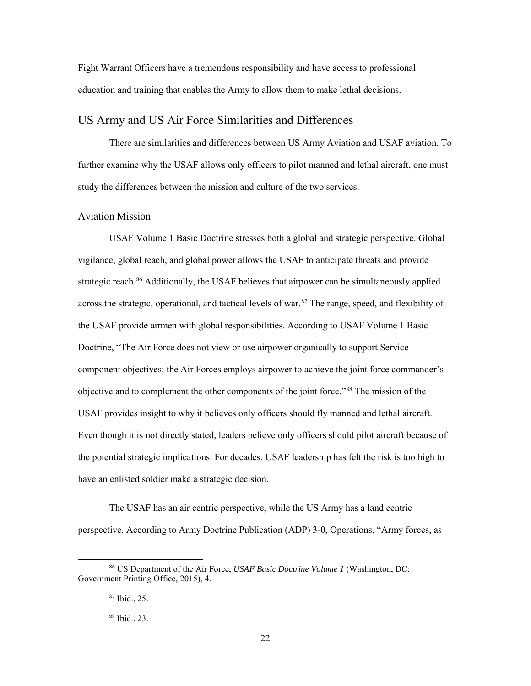Fight Warrant Officers have a tremendous responsibility and have access to professional education and training that enables the Army to allow them to make lethal decisions.

### <span id="page-29-0"></span>US Army and US Air Force Similarities and Differences

There are similarities and differences between US Army Aviation and USAF aviation. To further examine why the USAF allows only officers to pilot manned and lethal aircraft, one must study the differences between the mission and culture of the two services.

#### <span id="page-29-1"></span>Aviation Mission

USAF Volume 1 Basic Doctrine stresses both a global and strategic perspective. Global vigilance, global reach, and global power allows the USAF to anticipate threats and provide strategic reach.<sup>[86](#page-29-2)</sup> Additionally, the USAF believes that airpower can be simultaneously applied across the strategic, operational, and tactical levels of war. [87](#page-29-3) The range, speed, and flexibility of the USAF provide airmen with global responsibilities. According to USAF Volume 1 Basic Doctrine, "The Air Force does not view or use airpower organically to support Service component objectives; the Air Forces employs airpower to achieve the joint force commander's objective and to complement the other components of the joint force."[88](#page-29-4) The mission of the USAF provides insight to why it believes only officers should fly manned and lethal aircraft. Even though it is not directly stated, leaders believe only officers should pilot aircraft because of the potential strategic implications. For decades, USAF leadership has felt the risk is too high to have an enlisted soldier make a strategic decision.

 The USAF has an air centric perspective, while the US Army has a land centric perspective. According to Army Doctrine Publication (ADP) 3-0, Operations, "Army forces, as

<span id="page-29-4"></span><span id="page-29-3"></span><span id="page-29-2"></span> <sup>86</sup> US Department of the Air Force, *USAF Basic Doctrine Volume 1* (Washington, DC: Government Printing Office, 2015), 4.

<sup>87</sup> Ibid., 25.

<sup>88</sup> Ibid., 23.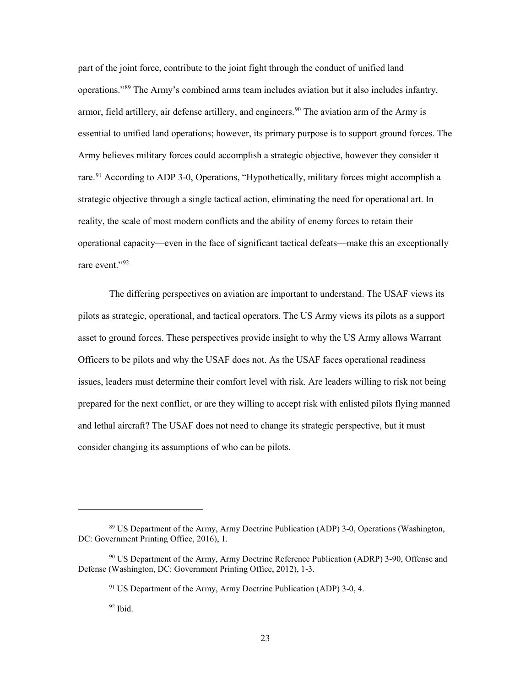part of the joint force, contribute to the joint fight through the conduct of unified land operations."[89](#page-30-0) The Army's combined arms team includes aviation but it also includes infantry, armor, field artillery, air defense artillery, and engineers.<sup>[90](#page-30-1)</sup> The aviation arm of the Army is essential to unified land operations; however, its primary purpose is to support ground forces. The Army believes military forces could accomplish a strategic objective, however they consider it rare.<sup>[91](#page-30-2)</sup> According to ADP 3-0, Operations, "Hypothetically, military forces might accomplish a strategic objective through a single tactical action, eliminating the need for operational art. In reality, the scale of most modern conflicts and the ability of enemy forces to retain their operational capacity—even in the face of significant tactical defeats—make this an exceptionally rare event."<sup>92</sup>

The differing perspectives on aviation are important to understand. The USAF views its pilots as strategic, operational, and tactical operators. The US Army views its pilots as a support asset to ground forces. These perspectives provide insight to why the US Army allows Warrant Officers to be pilots and why the USAF does not. As the USAF faces operational readiness issues, leaders must determine their comfort level with risk. Are leaders willing to risk not being prepared for the next conflict, or are they willing to accept risk with enlisted pilots flying manned and lethal aircraft? The USAF does not need to change its strategic perspective, but it must consider changing its assumptions of who can be pilots.

 $92$  Ibid.

<span id="page-30-0"></span><sup>89</sup> US Department of the Army, Army Doctrine Publication (ADP) 3-0, Operations (Washington, DC: Government Printing Office, 2016), 1.

<span id="page-30-3"></span><span id="page-30-2"></span><span id="page-30-1"></span><sup>90</sup> US Department of the Army, Army Doctrine Reference Publication (ADRP) 3-90, Offense and Defense (Washington, DC: Government Printing Office, 2012), 1-3.

<sup>&</sup>lt;sup>91</sup> US Department of the Army, Army Doctrine Publication (ADP) 3-0, 4.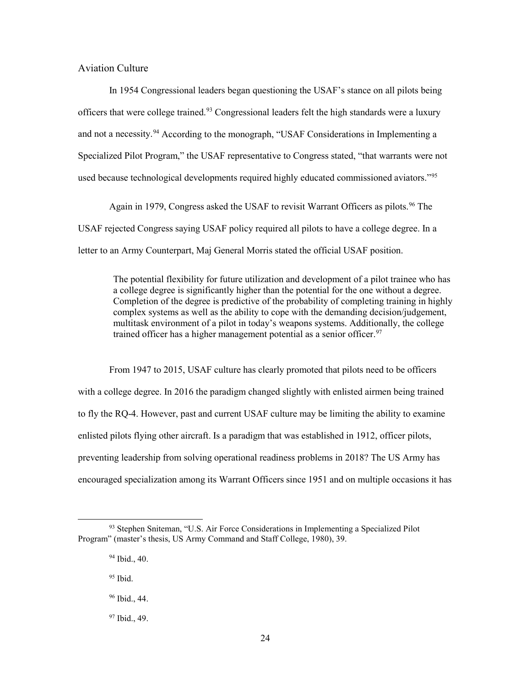#### <span id="page-31-0"></span>Aviation Culture

 In 1954 Congressional leaders began questioning the USAF's stance on all pilots being officers that were college trained.<sup>[93](#page-31-1)</sup> Congressional leaders felt the high standards were a luxury and not a necessity.<sup>94</sup> According to the monograph, "USAF Considerations in Implementing a Specialized Pilot Program," the USAF representative to Congress stated, "that warrants were not used because technological developments required highly educated commissioned aviators."[95](#page-31-3)

Again in 1979, Congress asked the USAF to revisit Warrant Officers as pilots.<sup>[96](#page-31-4)</sup> The USAF rejected Congress saying USAF policy required all pilots to have a college degree. In a letter to an Army Counterpart, Maj General Morris stated the official USAF position.

The potential flexibility for future utilization and development of a pilot trainee who has a college degree is significantly higher than the potential for the one without a degree. Completion of the degree is predictive of the probability of completing training in highly complex systems as well as the ability to cope with the demanding decision/judgement, multitask environment of a pilot in today's weapons systems. Additionally, the college trained officer has a higher management potential as a senior officer.<sup>[97](#page-31-5)</sup>

From 1947 to 2015, USAF culture has clearly promoted that pilots need to be officers with a college degree. In 2016 the paradigm changed slightly with enlisted airmen being trained to fly the RQ-4. However, past and current USAF culture may be limiting the ability to examine enlisted pilots flying other aircraft. Is a paradigm that was established in 1912, officer pilots, preventing leadership from solving operational readiness problems in 2018? The US Army has encouraged specialization among its Warrant Officers since 1951 and on multiple occasions it has

<span id="page-31-4"></span><span id="page-31-3"></span><span id="page-31-2"></span><span id="page-31-1"></span><sup>93</sup> Stephen Sniteman, "U.S. Air Force Considerations in Implementing a Specialized Pilot Program" (master's thesis, US Army Command and Staff College, 1980), 39.

<sup>94</sup> Ibid., 40.

 $95$  Ibid.

<sup>96</sup> Ibid., 44.

<span id="page-31-5"></span><sup>97</sup> Ibid., 49.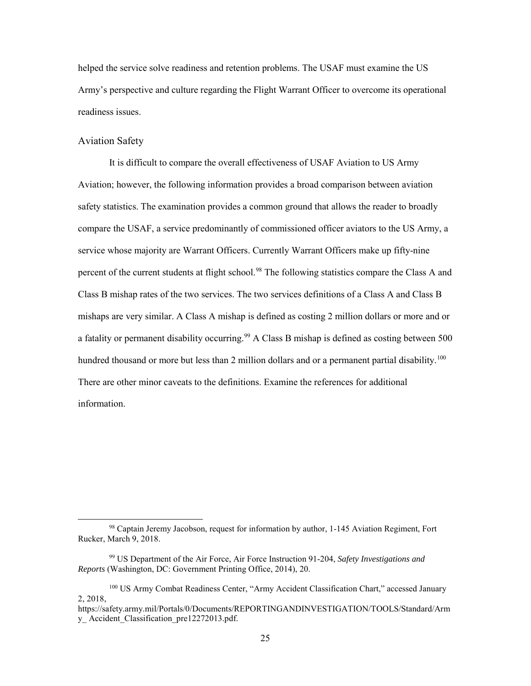helped the service solve readiness and retention problems. The USAF must examine the US Army's perspective and culture regarding the Flight Warrant Officer to overcome its operational readiness issues.

#### <span id="page-32-0"></span>Aviation Safety

It is difficult to compare the overall effectiveness of USAF Aviation to US Army Aviation; however, the following information provides a broad comparison between aviation safety statistics. The examination provides a common ground that allows the reader to broadly compare the USAF, a service predominantly of commissioned officer aviators to the US Army, a service whose majority are Warrant Officers. Currently Warrant Officers make up fifty-nine percent of the current students at flight school.<sup>[98](#page-32-1)</sup> The following statistics compare the Class A and Class B mishap rates of the two services. The two services definitions of a Class A and Class B mishaps are very similar. A Class A mishap is defined as costing 2 million dollars or more and or a fatality or permanent disability occurring.<sup>[99](#page-32-2)</sup> A Class B mishap is defined as costing between 500 hundred thousand or more but less than 2 million dollars and or a permanent partial disability.<sup>[100](#page-32-3)</sup> There are other minor caveats to the definitions. Examine the references for additional information.

<span id="page-32-1"></span><sup>98</sup> Captain Jeremy Jacobson, request for information by author, 1-145 Aviation Regiment, Fort Rucker, March 9, 2018.

<span id="page-32-2"></span><sup>99</sup> US Department of the Air Force, Air Force Instruction 91-204, *Safety Investigations and Reports* (Washington, DC: Government Printing Office, 2014), 20.

<span id="page-32-3"></span><sup>100</sup> US Army Combat Readiness Center, "Army Accident Classification Chart," accessed January 2, 2018,

https://safety.army.mil/Portals/0/Documents/REPORTINGANDINVESTIGATION/TOOLS/Standard/Arm y\_ Accident\_Classification\_pre12272013.pdf.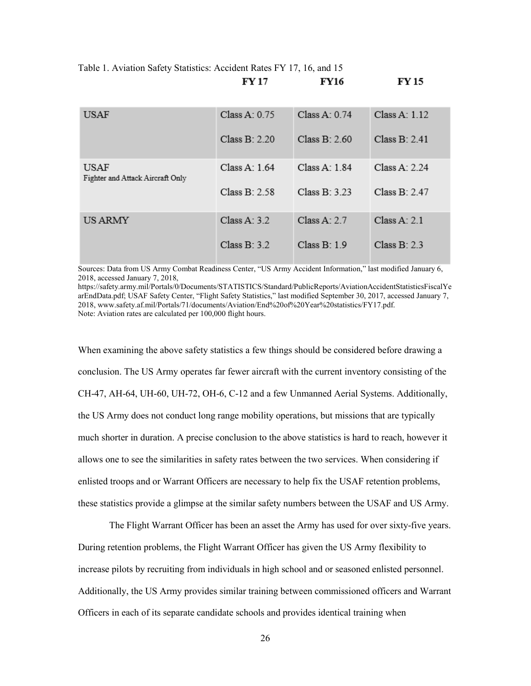#### Table 1. Aviation Safety Statistics: Accident Rates FY 17, 16, and 15

|                                          | <b>FY17</b>     | FY16            | <b>FY 15</b>    |
|------------------------------------------|-----------------|-----------------|-----------------|
| USAF                                     | Class A: $0.75$ | Class A: $0.74$ | Class A: $1.12$ |
|                                          | Class $B: 2.20$ | Class B: 2.60   | Class B: 2.41   |
| USAF<br>Fighter and Attack Aircraft Only | Class A: 1.64   | Class A: 1.84   | Class A: $2.24$ |
|                                          | Class $B: 2.58$ | Class B: $3.23$ | Class B: 2.47   |
| <b>US ARMY</b>                           | Class A: $3.2$  | Class A: $2.7$  | Class A: $2.1$  |
|                                          | Class $B: 3.2$  | Class B: 1.9    | Class $B: 2.3$  |

Sources: Data from US Army Combat Readiness Center, "US Army Accident Information," last modified January 6, 2018, accessed January 7, 2018,

https://safety.army.mil/Portals/0/Documents/STATISTICS/Standard/PublicReports/AviationAccidentStatisticsFiscalYe arEndData.pdf; USAF Safety Center, "Flight Safety Statistics," last modified September 30, 2017, accessed January 7, 2018, www.safety.af.mil/Portals/71/documents/Aviation/End%20of%20Year%20statistics/FY17.pdf. Note: Aviation rates are calculated per 100,000 flight hours.

When examining the above safety statistics a few things should be considered before drawing a conclusion. The US Army operates far fewer aircraft with the current inventory consisting of the CH-47, AH-64, UH-60, UH-72, OH-6, C-12 and a few Unmanned Aerial Systems. Additionally, the US Army does not conduct long range mobility operations, but missions that are typically much shorter in duration. A precise conclusion to the above statistics is hard to reach, however it allows one to see the similarities in safety rates between the two services. When considering if enlisted troops and or Warrant Officers are necessary to help fix the USAF retention problems, these statistics provide a glimpse at the similar safety numbers between the USAF and US Army.

The Flight Warrant Officer has been an asset the Army has used for over sixty-five years. During retention problems, the Flight Warrant Officer has given the US Army flexibility to increase pilots by recruiting from individuals in high school and or seasoned enlisted personnel. Additionally, the US Army provides similar training between commissioned officers and Warrant Officers in each of its separate candidate schools and provides identical training when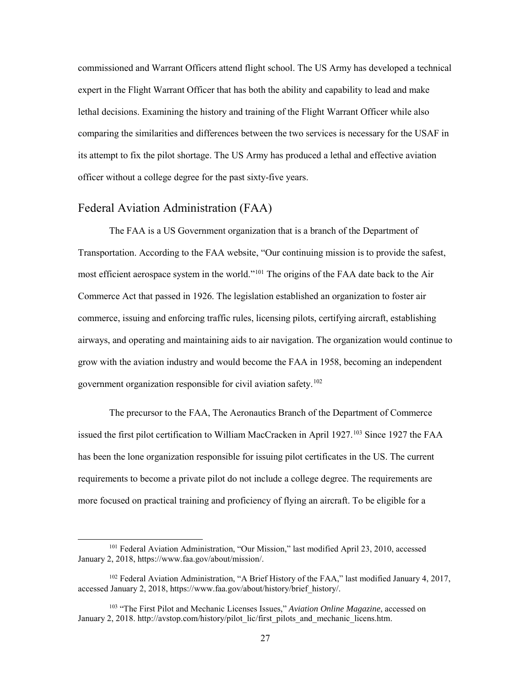commissioned and Warrant Officers attend flight school. The US Army has developed a technical expert in the Flight Warrant Officer that has both the ability and capability to lead and make lethal decisions. Examining the history and training of the Flight Warrant Officer while also comparing the similarities and differences between the two services is necessary for the USAF in its attempt to fix the pilot shortage. The US Army has produced a lethal and effective aviation officer without a college degree for the past sixty-five years.

#### <span id="page-34-0"></span>Federal Aviation Administration (FAA)

 The FAA is a US Government organization that is a branch of the Department of Transportation. According to the FAA website, "Our continuing mission is to provide the safest, most efficient aerospace system in the world."[101](#page-34-1) The origins of the FAA date back to the Air Commerce Act that passed in 1926. The legislation established an organization to foster air commerce, issuing and enforcing traffic rules, licensing pilots, certifying aircraft, establishing airways, and operating and maintaining aids to air navigation. The organization would continue to grow with the aviation industry and would become the FAA in 1958, becoming an independent government organization responsible for civil aviation safety.[102](#page-34-2)

 The precursor to the FAA, The Aeronautics Branch of the Department of Commerce issued the first pilot certification to William MacCracken in April 1927.[103](#page-34-3) Since 1927 the FAA has been the lone organization responsible for issuing pilot certificates in the US. The current requirements to become a private pilot do not include a college degree. The requirements are more focused on practical training and proficiency of flying an aircraft. To be eligible for a

<span id="page-34-1"></span> <sup>101</sup> Federal Aviation Administration, "Our Mission," last modified April 23, 2010, accessed January 2, 2018, https://www.faa.gov/about/mission/.

<span id="page-34-2"></span><sup>102</sup> Federal Aviation Administration, "A Brief History of the FAA," last modified January 4, 2017, accessed January 2, 2018, https://www.faa.gov/about/history/brief\_history/.

<span id="page-34-3"></span><sup>103</sup> "The First Pilot and Mechanic Licenses Issues," *Aviation Online Magazine*, accessed on January 2, 2018. http://avstop.com/history/pilot\_lic/first\_pilots\_and\_mechanic\_licens.htm.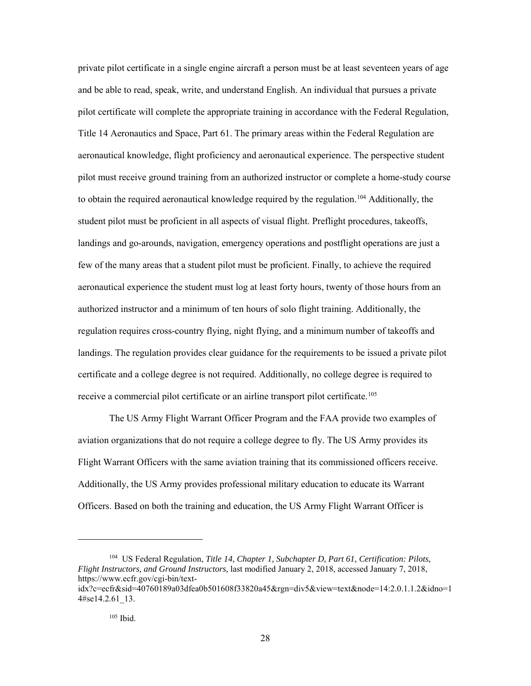private pilot certificate in a single engine aircraft a person must be at least seventeen years of age and be able to read, speak, write, and understand English. An individual that pursues a private pilot certificate will complete the appropriate training in accordance with the Federal Regulation, Title 14 Aeronautics and Space, Part 61. The primary areas within the Federal Regulation are aeronautical knowledge, flight proficiency and aeronautical experience. The perspective student pilot must receive ground training from an authorized instructor or complete a home-study course to obtain the required aeronautical knowledge required by the regulation.<sup>[104](#page-35-0)</sup> Additionally, the student pilot must be proficient in all aspects of visual flight. Preflight procedures, takeoffs, landings and go-arounds, navigation, emergency operations and postflight operations are just a few of the many areas that a student pilot must be proficient. Finally, to achieve the required aeronautical experience the student must log at least forty hours, twenty of those hours from an authorized instructor and a minimum of ten hours of solo flight training. Additionally, the regulation requires cross-country flying, night flying, and a minimum number of takeoffs and landings. The regulation provides clear guidance for the requirements to be issued a private pilot certificate and a college degree is not required. Additionally, no college degree is required to receive a commercial pilot certificate or an airline transport pilot certificate. [105](#page-35-1)

The US Army Flight Warrant Officer Program and the FAA provide two examples of aviation organizations that do not require a college degree to fly. The US Army provides its Flight Warrant Officers with the same aviation training that its commissioned officers receive. Additionally, the US Army provides professional military education to educate its Warrant Officers. Based on both the training and education, the US Army Flight Warrant Officer is

<span id="page-35-0"></span><sup>104</sup> US Federal Regulation, *Title 14, Chapter 1, Subchapter D, Part 61, Certification: Pilots, Flight Instructors, and Ground Instructors,* last modified January 2, 2018, accessed January 7, 2018, https://www.ecfr.gov/cgi-bin/text-

<span id="page-35-1"></span>idx?c=ecfr&sid=40760189a03dfea0b501608f33820a45&rgn=div5&view=text&node=14:2.0.1.1.2&idno=1 4#se14.2.61\_13.

<sup>105</sup> Ibid.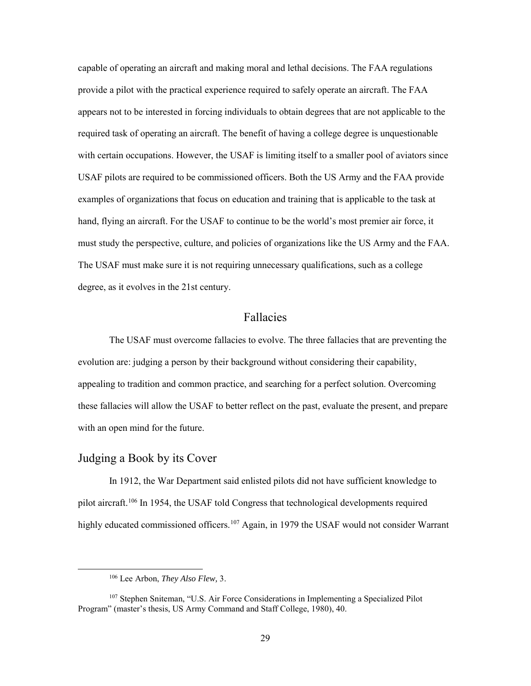capable of operating an aircraft and making moral and lethal decisions. The FAA regulations provide a pilot with the practical experience required to safely operate an aircraft. The FAA appears not to be interested in forcing individuals to obtain degrees that are not applicable to the required task of operating an aircraft. The benefit of having a college degree is unquestionable with certain occupations. However, the USAF is limiting itself to a smaller pool of aviators since USAF pilots are required to be commissioned officers. Both the US Army and the FAA provide examples of organizations that focus on education and training that is applicable to the task at hand, flying an aircraft. For the USAF to continue to be the world's most premier air force, it must study the perspective, culture, and policies of organizations like the US Army and the FAA. The USAF must make sure it is not requiring unnecessary qualifications, such as a college degree, as it evolves in the 21st century.

#### Fallacies

<span id="page-36-0"></span> The USAF must overcome fallacies to evolve. The three fallacies that are preventing the evolution are: judging a person by their background without considering their capability, appealing to tradition and common practice, and searching for a perfect solution. Overcoming these fallacies will allow the USAF to better reflect on the past, evaluate the present, and prepare with an open mind for the future.

#### <span id="page-36-1"></span>Judging a Book by its Cover

In 1912, the War Department said enlisted pilots did not have sufficient knowledge to pilot aircraft.[106](#page-36-2) In 1954, the USAF told Congress that technological developments required highly educated commissioned officers.<sup>[107](#page-36-3)</sup> Again, in 1979 the USAF would not consider Warrant

 <sup>106</sup> Lee Arbon, *They Also Flew,* 3.

<span id="page-36-3"></span><span id="page-36-2"></span><sup>107</sup> Stephen Sniteman, "U.S. Air Force Considerations in Implementing a Specialized Pilot Program" (master's thesis, US Army Command and Staff College, 1980), 40.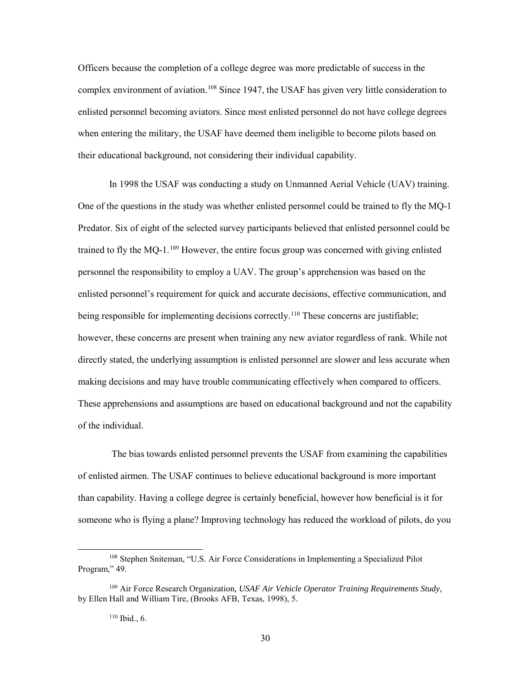Officers because the completion of a college degree was more predictable of success in the complex environment of aviation.<sup>[108](#page-37-0)</sup> Since 1947, the USAF has given very little consideration to enlisted personnel becoming aviators. Since most enlisted personnel do not have college degrees when entering the military, the USAF have deemed them ineligible to become pilots based on their educational background, not considering their individual capability.

In 1998 the USAF was conducting a study on Unmanned Aerial Vehicle (UAV) training. One of the questions in the study was whether enlisted personnel could be trained to fly the MQ-1 Predator. Six of eight of the selected survey participants believed that enlisted personnel could be trained to fly the MQ-1. $^{109}$  $^{109}$  $^{109}$  However, the entire focus group was concerned with giving enlisted personnel the responsibility to employ a UAV. The group's apprehension was based on the enlisted personnel's requirement for quick and accurate decisions, effective communication, and being responsible for implementing decisions correctly.<sup>110</sup> These concerns are justifiable; however, these concerns are present when training any new aviator regardless of rank. While not directly stated, the underlying assumption is enlisted personnel are slower and less accurate when making decisions and may have trouble communicating effectively when compared to officers. These apprehensions and assumptions are based on educational background and not the capability of the individual.

 The bias towards enlisted personnel prevents the USAF from examining the capabilities of enlisted airmen. The USAF continues to believe educational background is more important than capability. Having a college degree is certainly beneficial, however how beneficial is it for someone who is flying a plane? Improving technology has reduced the workload of pilots, do you

<span id="page-37-0"></span> <sup>108</sup> Stephen Sniteman, "U.S. Air Force Considerations in Implementing a Specialized Pilot Program," 49.

<span id="page-37-2"></span><span id="page-37-1"></span><sup>109</sup> Air Force Research Organization*, USAF Air Vehicle Operator Training Requirements Study*, by Ellen Hall and William Tire, (Brooks AFB, Texas, 1998), 5.

<sup>110</sup> Ibid., 6.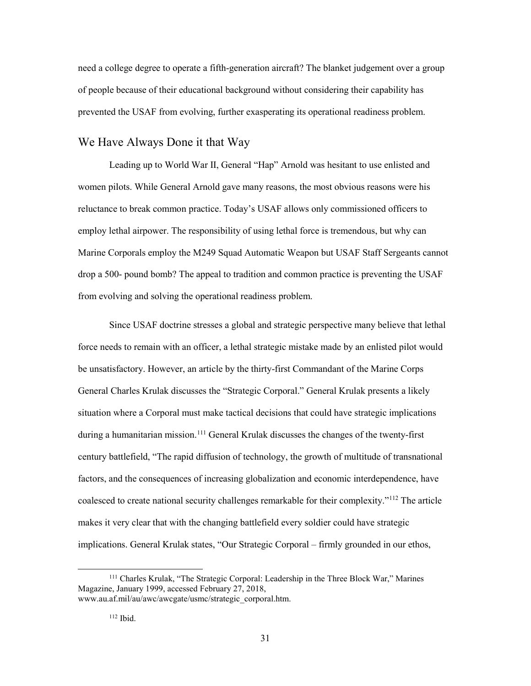need a college degree to operate a fifth-generation aircraft? The blanket judgement over a group of people because of their educational background without considering their capability has prevented the USAF from evolving, further exasperating its operational readiness problem.

#### <span id="page-38-0"></span>We Have Always Done it that Way

Leading up to World War II, General "Hap" Arnold was hesitant to use enlisted and women pilots. While General Arnold gave many reasons, the most obvious reasons were his reluctance to break common practice. Today's USAF allows only commissioned officers to employ lethal airpower. The responsibility of using lethal force is tremendous, but why can Marine Corporals employ the M249 Squad Automatic Weapon but USAF Staff Sergeants cannot drop a 500- pound bomb? The appeal to tradition and common practice is preventing the USAF from evolving and solving the operational readiness problem.

Since USAF doctrine stresses a global and strategic perspective many believe that lethal force needs to remain with an officer, a lethal strategic mistake made by an enlisted pilot would be unsatisfactory. However, an article by the thirty-first Commandant of the Marine Corps General Charles Krulak discusses the "Strategic Corporal." General Krulak presents a likely situation where a Corporal must make tactical decisions that could have strategic implications during a humanitarian mission.<sup>111</sup> General Krulak discusses the changes of the twenty-first century battlefield, "The rapid diffusion of technology, the growth of multitude of transnational factors, and the consequences of increasing globalization and economic interdependence, have coalesced to create national security challenges remarkable for their complexity."[112](#page-38-2) The article makes it very clear that with the changing battlefield every soldier could have strategic implications. General Krulak states, "Our Strategic Corporal – firmly grounded in our ethos,

<span id="page-38-2"></span><span id="page-38-1"></span> <sup>111</sup> Charles Krulak, "The Strategic Corporal: Leadership in the Three Block War," Marines Magazine, January 1999, accessed February 27, 2018, www.au.af.mil/au/awc/awcgate/usmc/strategic\_corporal.htm.

<sup>112</sup> Ibid.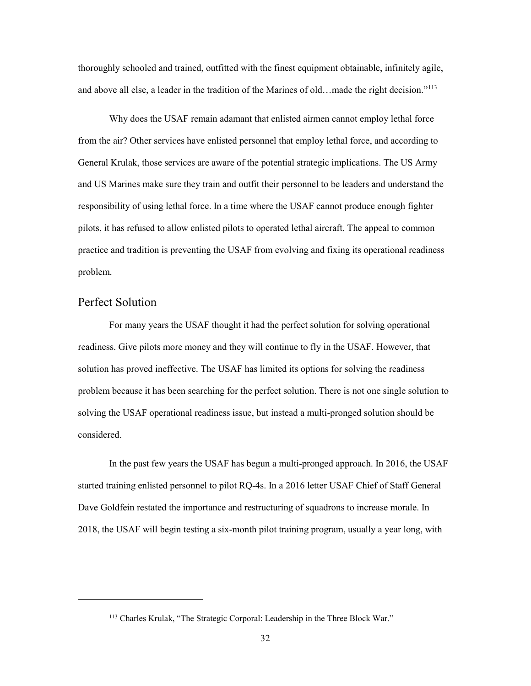thoroughly schooled and trained, outfitted with the finest equipment obtainable, infinitely agile, and above all else, a leader in the tradition of the Marines of old…made the right decision."[113](#page-39-1)

Why does the USAF remain adamant that enlisted airmen cannot employ lethal force from the air? Other services have enlisted personnel that employ lethal force, and according to General Krulak, those services are aware of the potential strategic implications. The US Army and US Marines make sure they train and outfit their personnel to be leaders and understand the responsibility of using lethal force. In a time where the USAF cannot produce enough fighter pilots, it has refused to allow enlisted pilots to operated lethal aircraft. The appeal to common practice and tradition is preventing the USAF from evolving and fixing its operational readiness problem.

## <span id="page-39-0"></span>Perfect Solution

<span id="page-39-1"></span> $\overline{a}$ 

For many years the USAF thought it had the perfect solution for solving operational readiness. Give pilots more money and they will continue to fly in the USAF. However, that solution has proved ineffective. The USAF has limited its options for solving the readiness problem because it has been searching for the perfect solution. There is not one single solution to solving the USAF operational readiness issue, but instead a multi-pronged solution should be considered.

 In the past few years the USAF has begun a multi-pronged approach. In 2016, the USAF started training enlisted personnel to pilot RQ-4s. In a 2016 letter USAF Chief of Staff General Dave Goldfein restated the importance and restructuring of squadrons to increase morale. In 2018, the USAF will begin testing a six-month pilot training program, usually a year long, with

<sup>113</sup> Charles Krulak, "The Strategic Corporal: Leadership in the Three Block War."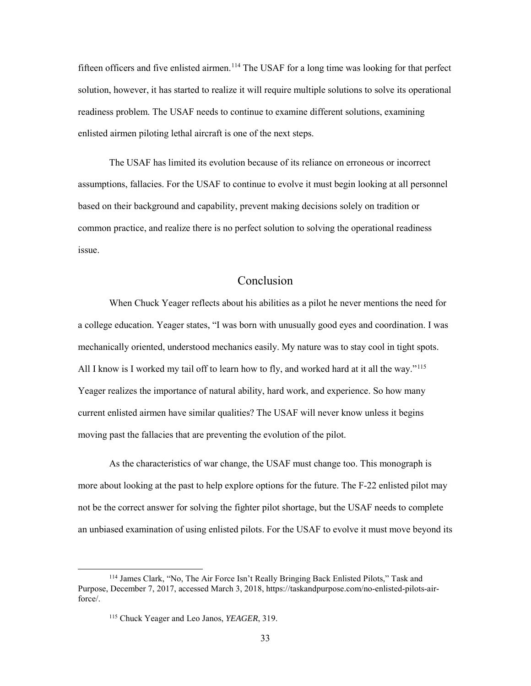fifteen officers and five enlisted airmen.<sup>[114](#page-40-1)</sup> The USAF for a long time was looking for that perfect solution, however, it has started to realize it will require multiple solutions to solve its operational readiness problem. The USAF needs to continue to examine different solutions, examining enlisted airmen piloting lethal aircraft is one of the next steps.

The USAF has limited its evolution because of its reliance on erroneous or incorrect assumptions, fallacies. For the USAF to continue to evolve it must begin looking at all personnel based on their background and capability, prevent making decisions solely on tradition or common practice, and realize there is no perfect solution to solving the operational readiness issue.

## Conclusion

<span id="page-40-0"></span>When Chuck Yeager reflects about his abilities as a pilot he never mentions the need for a college education. Yeager states, "I was born with unusually good eyes and coordination. I was mechanically oriented, understood mechanics easily. My nature was to stay cool in tight spots. All I know is I worked my tail off to learn how to fly, and worked hard at it all the way."<sup>[115](#page-40-2)</sup> Yeager realizes the importance of natural ability, hard work, and experience. So how many current enlisted airmen have similar qualities? The USAF will never know unless it begins moving past the fallacies that are preventing the evolution of the pilot.

As the characteristics of war change, the USAF must change too. This monograph is more about looking at the past to help explore options for the future. The F-22 enlisted pilot may not be the correct answer for solving the fighter pilot shortage, but the USAF needs to complete an unbiased examination of using enlisted pilots. For the USAF to evolve it must move beyond its

<span id="page-40-2"></span><span id="page-40-1"></span> <sup>114</sup> James Clark, "No, The Air Force Isn't Really Bringing Back Enlisted Pilots," Task and Purpose, December 7, 2017, accessed March 3, 2018, https://taskandpurpose.com/no-enlisted-pilots-airforce/.

<sup>115</sup> Chuck Yeager and Leo Janos, *YEAGER*, 319.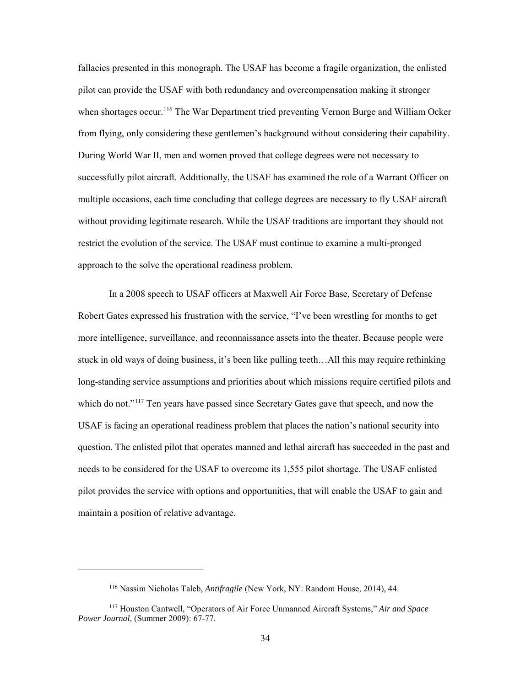fallacies presented in this monograph. The USAF has become a fragile organization, the enlisted pilot can provide the USAF with both redundancy and overcompensation making it stronger when shortages occur.<sup>[116](#page-41-0)</sup> The War Department tried preventing Vernon Burge and William Ocker from flying, only considering these gentlemen's background without considering their capability. During World War II, men and women proved that college degrees were not necessary to successfully pilot aircraft. Additionally, the USAF has examined the role of a Warrant Officer on multiple occasions, each time concluding that college degrees are necessary to fly USAF aircraft without providing legitimate research. While the USAF traditions are important they should not restrict the evolution of the service. The USAF must continue to examine a multi-pronged approach to the solve the operational readiness problem.

In a 2008 speech to USAF officers at Maxwell Air Force Base, Secretary of Defense Robert Gates expressed his frustration with the service, "I've been wrestling for months to get more intelligence, surveillance, and reconnaissance assets into the theater. Because people were stuck in old ways of doing business, it's been like pulling teeth…All this may require rethinking long-standing service assumptions and priorities about which missions require certified pilots and which do not. $117$  Ten years have passed since Secretary Gates gave that speech, and now the USAF is facing an operational readiness problem that places the nation's national security into question. The enlisted pilot that operates manned and lethal aircraft has succeeded in the past and needs to be considered for the USAF to overcome its 1,555 pilot shortage. The USAF enlisted pilot provides the service with options and opportunities, that will enable the USAF to gain and maintain a position of relative advantage.

<sup>116</sup> Nassim Nicholas Taleb, *Antifragile* (New York, NY: Random House, 2014), 44.

<span id="page-41-1"></span><span id="page-41-0"></span><sup>117</sup> Houston Cantwell, "Operators of Air Force Unmanned Aircraft Systems," *Air and Space Power Journal*, (Summer 2009): 67-77.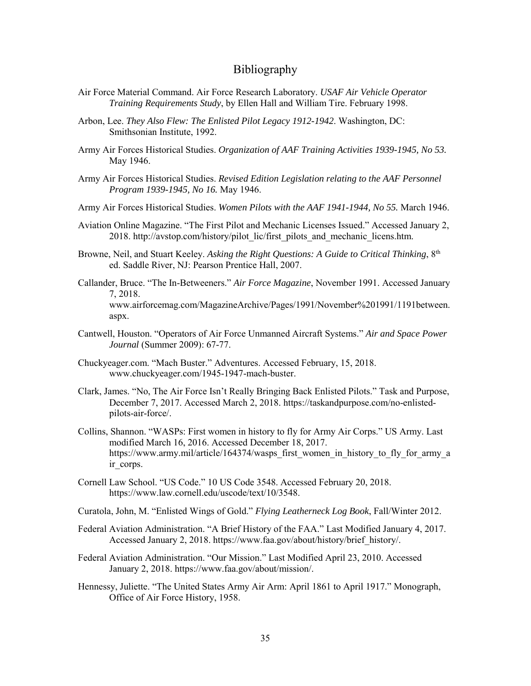#### Bibliography

- <span id="page-42-0"></span>Air Force Material Command. Air Force Research Laboratory. *USAF Air Vehicle Operator Training Requirements Study*, by Ellen Hall and William Tire. February 1998.
- Arbon, Lee. *They Also Flew: The Enlisted Pilot Legacy 1912-1942*. Washington, DC: Smithsonian Institute, 1992.
- Army Air Forces Historical Studies. *Organization of AAF Training Activities 1939-1945, No 53.*  May 1946.
- Army Air Forces Historical Studies. *Revised Edition Legislation relating to the AAF Personnel Program 1939-1945, No 16.* May 1946.
- Army Air Forces Historical Studies. *Women Pilots with the AAF 1941-1944, No 55.* March 1946.
- Aviation Online Magazine. "The First Pilot and Mechanic Licenses Issued." Accessed January 2, 2018. http://avstop.com/history/pilot\_lic/first\_pilots\_and\_mechanic\_licens.htm.
- Browne, Neil, and Stuart Keeley. *Asking the Right Questions: A Guide to Critical Thinking*, 8th ed. Saddle River, NJ: Pearson Prentice Hall, 2007.
- Callander, Bruce. "The In-Betweeners." *Air Force Magazine*, November 1991. Accessed January 7, 2018. www.airforcemag.com/MagazineArchive/Pages/1991/November%201991/1191between. aspx.
- Cantwell, Houston. "Operators of Air Force Unmanned Aircraft Systems." *Air and Space Power Journal* (Summer 2009): 67-77.
- Chuckyeager.com. "Mach Buster." Adventures. Accessed February, 15, 2018. www.chuckyeager.com/1945-1947-mach-buster.
- Clark, James. "No, The Air Force Isn't Really Bringing Back Enlisted Pilots." Task and Purpose, December 7, 2017. Accessed March 2, 2018. https://taskandpurpose.com/no-enlistedpilots-air-force/.
- Collins, Shannon. "WASPs: First women in history to fly for Army Air Corps." US Army. Last modified March 16, 2016. Accessed December 18, 2017. https://www.army.mil/article/164374/wasps\_first\_women\_in\_history\_to\_fly\_for\_army\_a ir corps.
- Cornell Law School. "US Code." 10 US Code 3548. Accessed February 20, 2018. https://www.law.cornell.edu/uscode/text/10/3548.
- Curatola, John, M. "Enlisted Wings of Gold." *Flying Leatherneck Log Book*, Fall/Winter 2012.
- Federal Aviation Administration. "A Brief History of the FAA." Last Modified January 4, 2017. Accessed January 2, 2018. https://www.faa.gov/about/history/brief\_history/.
- Federal Aviation Administration. "Our Mission." Last Modified April 23, 2010. Accessed January 2, 2018. https://www.faa.gov/about/mission/.
- Hennessy, Juliette. "The United States Army Air Arm: April 1861 to April 1917." Monograph, Office of Air Force History, 1958.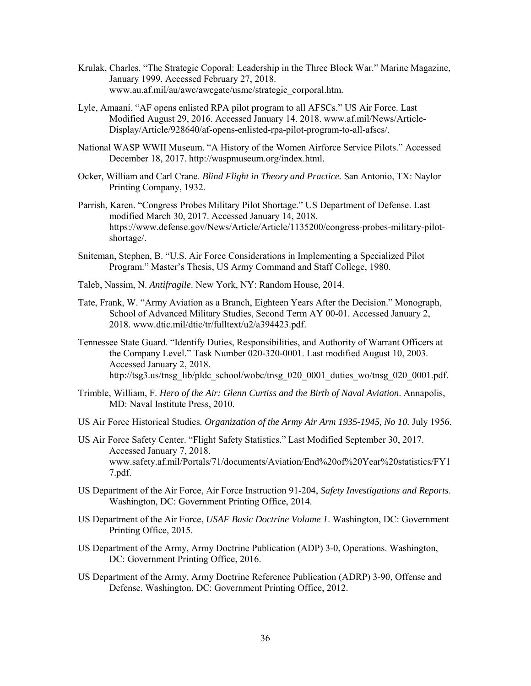- Krulak, Charles. "The Strategic Coporal: Leadership in the Three Block War." Marine Magazine, January 1999. Accessed February 27, 2018. www.au.af.mil/au/awc/awcgate/usmc/strategic\_corporal.htm.
- Lyle, Amaani. "AF opens enlisted RPA pilot program to all AFSCs." US Air Force. Last Modified August 29, 2016. Accessed January 14. 2018. www.af.mil/News/Article-Display/Article/928640/af-opens-enlisted-rpa-pilot-program-to-all-afscs/.
- National WASP WWII Museum. "A History of the Women Airforce Service Pilots." Accessed December 18, 2017. http://waspmuseum.org/index.html.
- Ocker, William and Carl Crane. *Blind Flight in Theory and Practice.* San Antonio, TX: Naylor Printing Company, 1932.
- Parrish, Karen. "Congress Probes Military Pilot Shortage." US Department of Defense. Last modified March 30, 2017. Accessed January 14, 2018. https://www.defense.gov/News/Article/Article/1135200/congress-probes-military-pilotshortage/.
- Sniteman, Stephen, B. "U.S. Air Force Considerations in Implementing a Specialized Pilot Program." Master's Thesis, US Army Command and Staff College, 1980.
- Taleb, Nassim, N. *Antifragile*. New York, NY: Random House, 2014.
- Tate, Frank, W. "Army Aviation as a Branch, Eighteen Years After the Decision." Monograph, School of Advanced Military Studies, Second Term AY 00-01. Accessed January 2, 2018. www.dtic.mil/dtic/tr/fulltext/u2/a394423.pdf.
- Tennessee State Guard. "Identify Duties, Responsibilities, and Authority of Warrant Officers at the Company Level." Task Number 020-320-0001. Last modified August 10, 2003. Accessed January 2, 2018. http://tsg3.us/tnsg\_lib/pldc\_school/wobc/tnsg\_020\_0001\_duties\_wo/tnsg\_020\_0001.pdf.
- Trimble, William, F. *Hero of the Air: Glenn Curtiss and the Birth of Naval Aviation*. Annapolis, MD: Naval Institute Press, 2010.
- US Air Force Historical Studies*. Organization of the Army Air Arm 1935-1945, No 10.* July 1956.
- US Air Force Safety Center. "Flight Safety Statistics." Last Modified September 30, 2017. Accessed January 7, 2018. www.safety.af.mil/Portals/71/documents/Aviation/End%20of%20Year%20statistics/FY1 7.pdf.
- US Department of the Air Force, Air Force Instruction 91-204, *Safety Investigations and Reports*. Washington, DC: Government Printing Office, 2014.
- US Department of the Air Force, *USAF Basic Doctrine Volume 1*. Washington, DC: Government Printing Office, 2015.
- US Department of the Army, Army Doctrine Publication (ADP) 3-0, Operations. Washington, DC: Government Printing Office, 2016.
- US Department of the Army, Army Doctrine Reference Publication (ADRP) 3-90, Offense and Defense. Washington, DC: Government Printing Office, 2012.